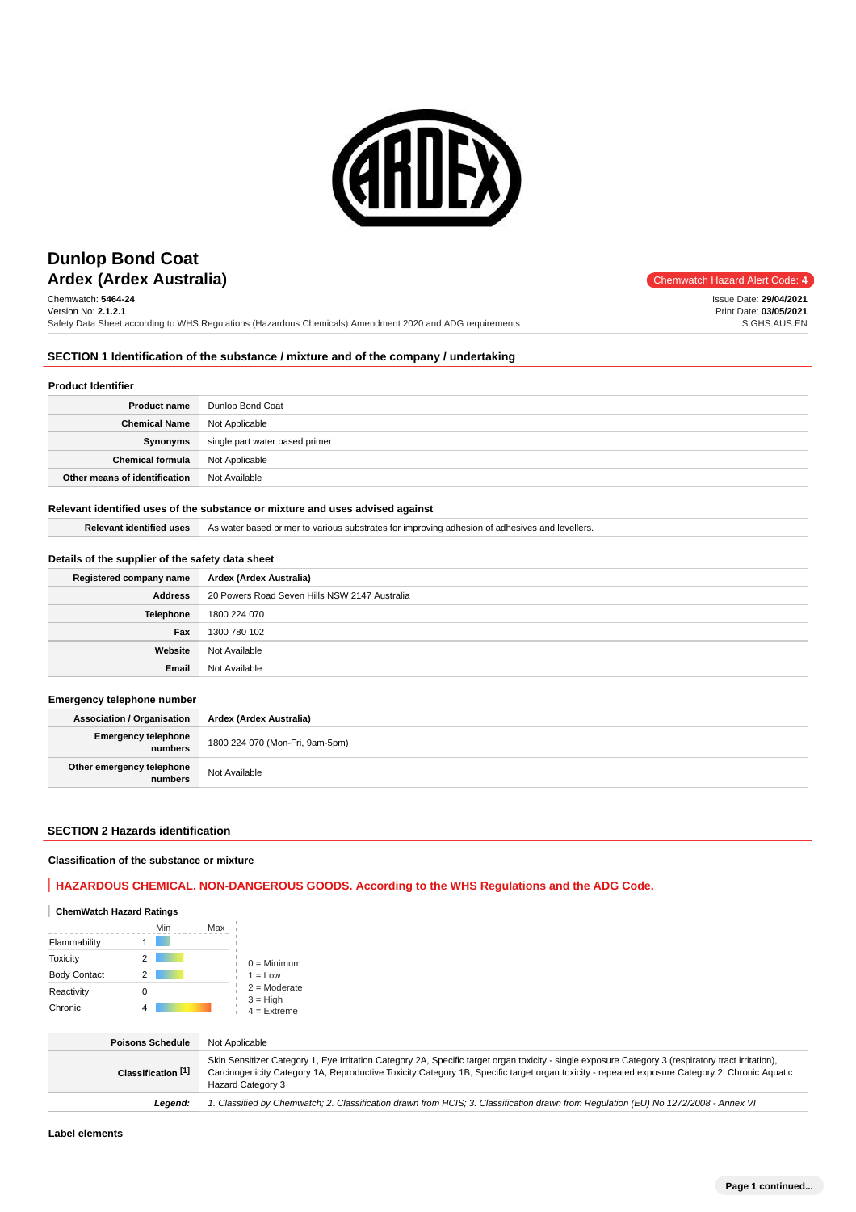

# **Ardex (Ardex Australia)** and the matter of the code: 4 **Dunlop Bond Coat**

Chemwatch: **5464-24** Version No: **2.1.2.1** Safety Data Sheet according to WHS Regulations (Hazardous Chemicals) Amendment 2020 and ADG requirements Issue Date: **29/04/2021**

Print Date: **03/05/2021** S.GHS.AUS.EN

### **SECTION 1 Identification of the substance / mixture and of the company / undertaking**

#### **Product Identifier**

| <b>Product name</b>           | Dunlop Bond Coat               |
|-------------------------------|--------------------------------|
| <b>Chemical Name</b>          | Not Applicable                 |
| Synonyms                      | single part water based primer |
| <b>Chemical formula</b>       | Not Applicable                 |
| Other means of identification | Not Available                  |

#### **Relevant identified uses of the substance or mixture and uses advised against**

Relevant identified uses As water based primer to various substrates for improving adhesion of adhesives and levellers.

### **Details of the supplier of the safety data sheet**

| Registered company name | Ardex (Ardex Australia)                       |
|-------------------------|-----------------------------------------------|
| <b>Address</b>          | 20 Powers Road Seven Hills NSW 2147 Australia |
| Telephone               | 1800 224 070                                  |
| Fax                     | 1300 780 102                                  |
| Website                 | Not Available                                 |
| Email                   | Not Available                                 |

#### **Emergency telephone number**

**Association / Organisation Ardex (Ardex Australia) Emergency telephone numbers** 1800 224 070 (Mon-Fri, 9am-5pm) **Other emergency telephone relephone**<br> **numbers** Not Available

#### **SECTION 2 Hazards identification**

#### **Classification of the substance or mixture**

**HAZARDOUS CHEMICAL. NON-DANGEROUS GOODS. According to the WHS Regulations and the ADG Code.**

#### **ChemWatch Hazard Ratings**

|                     | Min | Max |                             |
|---------------------|-----|-----|-----------------------------|
| Flammability        |     |     |                             |
| <b>Toxicity</b>     | 2   |     | $0 =$ Minimum               |
| <b>Body Contact</b> | 2   |     | $1 = Low$                   |
| Reactivity          |     |     | $2 =$ Moderate              |
| Chronic             |     |     | $3 = High$<br>$4 =$ Extreme |

| <b>Poisons Schedule</b> | Not Applicable                                                                                                                                                                                                                                                                                                             |
|-------------------------|----------------------------------------------------------------------------------------------------------------------------------------------------------------------------------------------------------------------------------------------------------------------------------------------------------------------------|
| Classification [1]      | Skin Sensitizer Category 1, Eye Irritation Category 2A, Specific target organ toxicity - single exposure Category 3 (respiratory tract irritation),<br>Carcinogenicity Category 1A, Reproductive Toxicity Category 1B, Specific target organ toxicity - repeated exposure Category 2, Chronic Aquatic<br>Hazard Category 3 |
| Leaend:                 | 1. Classified by Chemwatch; 2. Classification drawn from HCIS; 3. Classification drawn from Requlation (EU) No 1272/2008 - Annex VI                                                                                                                                                                                        |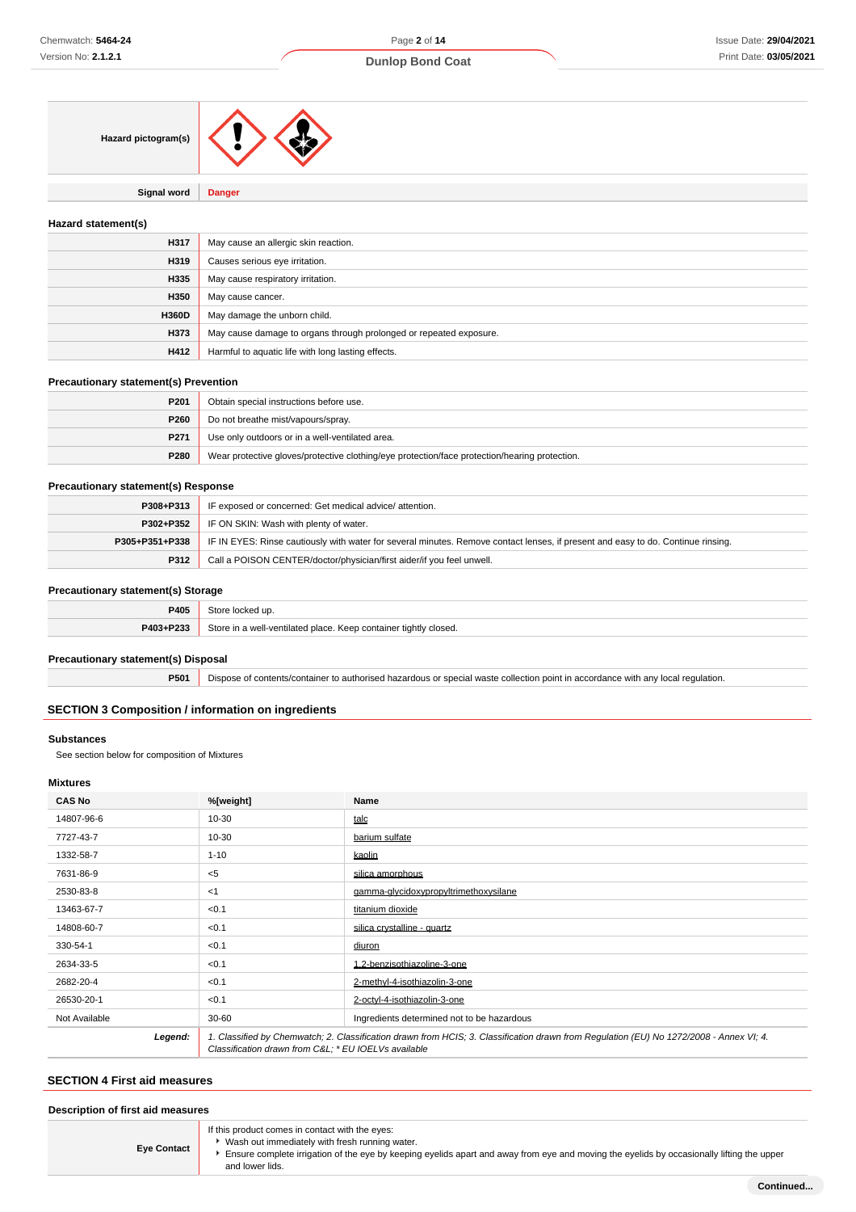| Hazard pictogram(s) |                                                                    |
|---------------------|--------------------------------------------------------------------|
| <b>Signal word</b>  | <b>Danger</b>                                                      |
| Hazard statement(s) |                                                                    |
| H317                | May cause an allergic skin reaction.                               |
| H319                | Causes serious eye irritation.                                     |
| H335                | May cause respiratory irritation.                                  |
| H350                | May cause cancer.                                                  |
| H360D               | May damage the unborn child.                                       |
| H373                | May cause damage to organs through prolonged or repeated exposure. |
| H412                | Harmful to aquatic life with long lasting effects.                 |

#### **Precautionary statement(s) Prevention**

| P <sub>201</sub> | Obtain special instructions before use.                                                       |
|------------------|-----------------------------------------------------------------------------------------------|
| P260             | Do not breathe mist/vapours/spray.                                                            |
| P271             | Use only outdoors or in a well-ventilated area.                                               |
| P280             | Wear protective gloves/protective clothing/eye protection/face protection/hearing protection. |

### **Precautionary statement(s) Response**

| P308+P313      | IF exposed or concerned: Get medical advice/attention.                                                                           |
|----------------|----------------------------------------------------------------------------------------------------------------------------------|
| P302+P352      | IF ON SKIN: Wash with plenty of water.                                                                                           |
| P305+P351+P338 | IF IN EYES: Rinse cautiously with water for several minutes. Remove contact lenses, if present and easy to do. Continue rinsing. |
| P312           | Call a POISON CENTER/doctor/physician/first aider/if you feel unwell.                                                            |

### **Precautionary statement(s) Storage**

| ____      |                                                                  |
|-----------|------------------------------------------------------------------|
| P405      | こもへい<br>up                                                       |
| P403+P233 | Store in a well-ventilated place. Keep container tightly closed. |

#### **Precautionary statement(s) Disposal**

**P501** Dispose of contents/container to authorised hazardous or special waste collection point in accordance with any local regulation.

## **SECTION 3 Composition / information on ingredients**

### **Substances**

See section below for composition of Mixtures

### **Mixtures**

| <b>CAS No</b> | %[weight]                                            | Name                                                                                                                                    |
|---------------|------------------------------------------------------|-----------------------------------------------------------------------------------------------------------------------------------------|
| 14807-96-6    | $10 - 30$                                            | talc                                                                                                                                    |
| 7727-43-7     | $10 - 30$                                            | barium sulfate                                                                                                                          |
| 1332-58-7     | $1 - 10$                                             | kaolin                                                                                                                                  |
| 7631-86-9     | $<$ 5                                                | silica amorphous                                                                                                                        |
| 2530-83-8     | $<$ 1                                                | gamma-glycidoxypropyltrimethoxysilane                                                                                                   |
| 13463-67-7    | < 0.1                                                | titanium dioxide                                                                                                                        |
| 14808-60-7    | < 0.1                                                | silica crystalline - quartz                                                                                                             |
| 330-54-1      | < 0.1                                                | diuron                                                                                                                                  |
| 2634-33-5     | < 0.1                                                | 1,2-benzisothiazoline-3-one                                                                                                             |
| 2682-20-4     | < 0.1                                                | 2-methyl-4-isothiazolin-3-one                                                                                                           |
| 26530-20-1    | < 0.1                                                | 2-octvl-4-isothiazolin-3-one                                                                                                            |
| Not Available | $30 - 60$                                            | Ingredients determined not to be hazardous                                                                                              |
| Legend:       | Classification drawn from C&L * EU IOEL Vs available | 1. Classified by Chemwatch; 2. Classification drawn from HCIS; 3. Classification drawn from Regulation (EU) No 1272/2008 - Annex VI; 4. |

## **SECTION 4 First aid measures**

| Description of first aid measures |                                                                                                                                                                                                                                                                   |  |
|-----------------------------------|-------------------------------------------------------------------------------------------------------------------------------------------------------------------------------------------------------------------------------------------------------------------|--|
| <b>Eye Contact</b>                | If this product comes in contact with the eyes:<br>Wash out immediately with fresh running water.<br>Ensure complete irrigation of the eye by keeping eyelids apart and away from eye and moving the eyelids by occasionally lifting the upper<br>and lower lids. |  |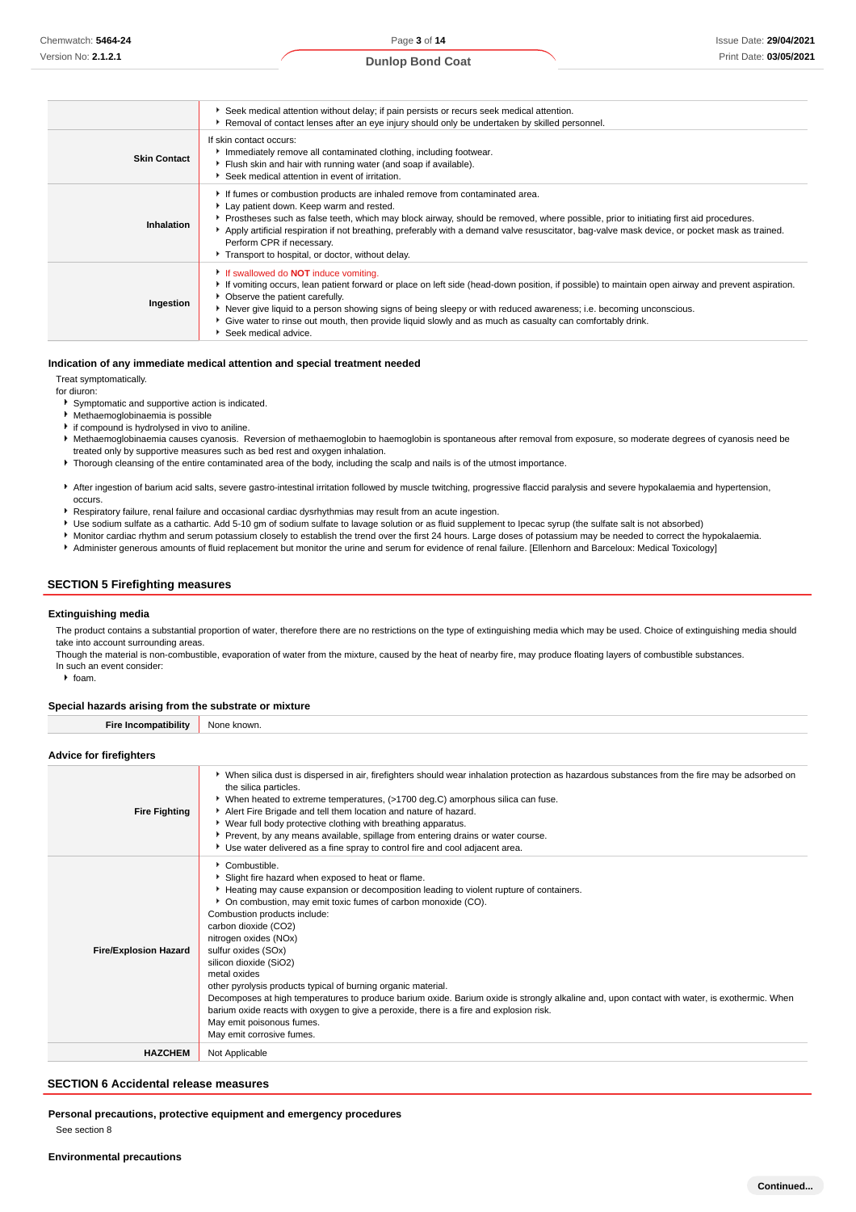#### **Dunlop Bond Coat**

|                     | Seek medical attention without delay; if pain persists or recurs seek medical attention.<br>Removal of contact lenses after an eye injury should only be undertaken by skilled personnel.                                                                                                                                                                                                                                                                                                         |
|---------------------|---------------------------------------------------------------------------------------------------------------------------------------------------------------------------------------------------------------------------------------------------------------------------------------------------------------------------------------------------------------------------------------------------------------------------------------------------------------------------------------------------|
| <b>Skin Contact</b> | If skin contact occurs:<br>Immediately remove all contaminated clothing, including footwear.<br>Flush skin and hair with running water (and soap if available).<br>Seek medical attention in event of irritation.                                                                                                                                                                                                                                                                                 |
| Inhalation          | If fumes or combustion products are inhaled remove from contaminated area.<br>Lay patient down. Keep warm and rested.<br>▶ Prostheses such as false teeth, which may block airway, should be removed, where possible, prior to initiating first aid procedures.<br>Apply artificial respiration if not breathing, preferably with a demand valve resuscitator, bag-valve mask device, or pocket mask as trained.<br>Perform CPR if necessary.<br>Transport to hospital, or doctor, without delay. |
| Ingestion           | If swallowed do <b>NOT</b> induce vomiting.<br>If vomiting occurs, lean patient forward or place on left side (head-down position, if possible) to maintain open airway and prevent aspiration.<br>• Observe the patient carefully.<br>Never give liquid to a person showing signs of being sleepy or with reduced awareness; i.e. becoming unconscious.<br>Give water to rinse out mouth, then provide liquid slowly and as much as casualty can comfortably drink.<br>Seek medical advice.      |

#### **Indication of any immediate medical attention and special treatment needed**

Treat symptomatically.

for diuron:

- Symptomatic and supportive action is indicated.
- Methaemoglobinaemia is possible
- **i** if compound is hydrolysed in vivo to aniline
- Methaemoglobinaemia causes cyanosis. Reversion of methaemoglobin to haemoglobin is spontaneous after removal from exposure, so moderate degrees of cyanosis need be treated only by supportive measures such as bed rest and oxygen inhalation.
- Thorough cleansing of the entire contaminated area of the body, including the scalp and nails is of the utmost importance.
- After ingestion of barium acid salts, severe gastro-intestinal irritation followed by muscle twitching, progressive flaccid paralysis and severe hypokalaemia and hypertension, occurs.
- Respiratory failure, renal failure and occasional cardiac dysrhythmias may result from an acute ingestion.
- Use sodium sulfate as a cathartic. Add 5-10 gm of sodium sulfate to lavage solution or as fluid supplement to Ipecac syrup (the sulfate salt is not absorbed)
- Monitor cardiac rhythm and serum potassium closely to establish the trend over the first 24 hours. Large doses of potassium may be needed to correct the hypokalaemia.
- Administer generous amounts of fluid replacement but monitor the urine and serum for evidence of renal failure. [Ellenhorn and Barceloux: Medical Toxicology]

#### **SECTION 5 Firefighting measures**

#### **Extinguishing media**

The product contains a substantial proportion of water, therefore there are no restrictions on the type of extinguishing media which may be used. Choice of extinguishing media should take into account surrounding areas

Though the material is non-combustible, evaporation of water from the mixture, caused by the heat of nearby fire, may produce floating layers of combustible substances. In such an event consider:

 $\cdot$  foam.

#### **Special hazards arising from the substrate or mixture**

**Fire Incompatibility** None known.

#### **Advice for firefighters**

| • When silica dust is dispersed in air, firefighters should wear inhalation protection as hazardous substances from the fire may be adsorbed on<br>the silica particles.<br>▶ When heated to extreme temperatures, (>1700 deg.C) amorphous silica can fuse.<br>Alert Fire Brigade and tell them location and nature of hazard.<br><b>Fire Fighting</b><br>▶ Wear full body protective clothing with breathing apparatus.<br>▶ Prevent, by any means available, spillage from entering drains or water course.<br>Use water delivered as a fine spray to control fire and cool adjacent area.<br>Combustible.<br>Slight fire hazard when exposed to heat or flame.<br>Heating may cause expansion or decomposition leading to violent rupture of containers.<br>• On combustion, may emit toxic fumes of carbon monoxide (CO).<br>Combustion products include:<br>carbon dioxide (CO2)<br>nitrogen oxides (NOx)<br>sulfur oxides (SOx)<br><b>Fire/Explosion Hazard</b><br>silicon dioxide (SiO2)<br>metal oxides<br>other pyrolysis products typical of burning organic material.<br>Decomposes at high temperatures to produce barium oxide. Barium oxide is strongly alkaline and, upon contact with water, is exothermic. When<br>barium oxide reacts with oxygen to give a peroxide, there is a fire and explosion risk.<br>May emit poisonous fumes.<br>May emit corrosive fumes.<br>Not Applicable<br><b>HAZCHEM</b> |  |
|---------------------------------------------------------------------------------------------------------------------------------------------------------------------------------------------------------------------------------------------------------------------------------------------------------------------------------------------------------------------------------------------------------------------------------------------------------------------------------------------------------------------------------------------------------------------------------------------------------------------------------------------------------------------------------------------------------------------------------------------------------------------------------------------------------------------------------------------------------------------------------------------------------------------------------------------------------------------------------------------------------------------------------------------------------------------------------------------------------------------------------------------------------------------------------------------------------------------------------------------------------------------------------------------------------------------------------------------------------------------------------------------------------------------------|--|
|                                                                                                                                                                                                                                                                                                                                                                                                                                                                                                                                                                                                                                                                                                                                                                                                                                                                                                                                                                                                                                                                                                                                                                                                                                                                                                                                                                                                                           |  |
|                                                                                                                                                                                                                                                                                                                                                                                                                                                                                                                                                                                                                                                                                                                                                                                                                                                                                                                                                                                                                                                                                                                                                                                                                                                                                                                                                                                                                           |  |
|                                                                                                                                                                                                                                                                                                                                                                                                                                                                                                                                                                                                                                                                                                                                                                                                                                                                                                                                                                                                                                                                                                                                                                                                                                                                                                                                                                                                                           |  |

#### **SECTION 6 Accidental release measures**

**Personal precautions, protective equipment and emergency procedures** See section 8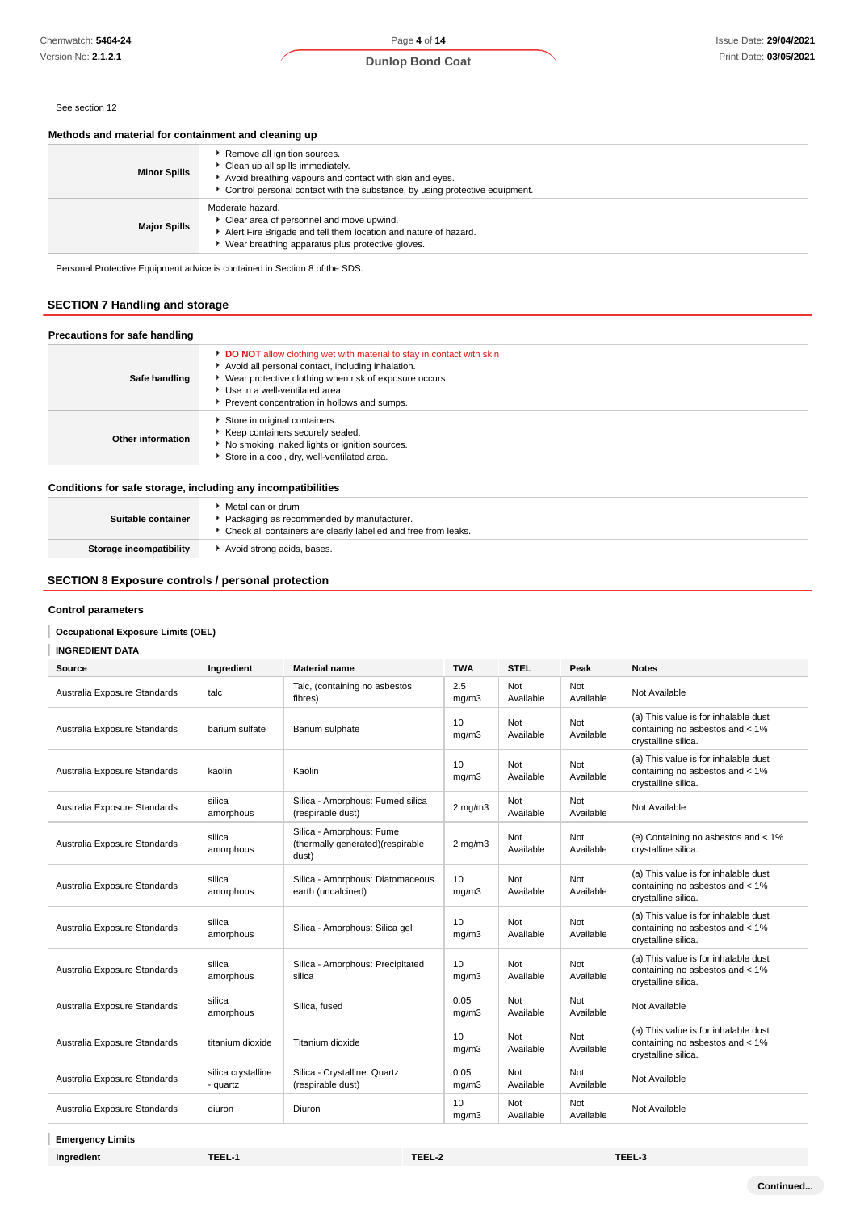#### See section 12

### **Methods and material for containment and cleaning up**

| <b>Minor Spills</b> | Remove all ignition sources.<br>Clean up all spills immediately.<br>Avoid breathing vapours and contact with skin and eyes.<br>Control personal contact with the substance, by using protective equipment. |
|---------------------|------------------------------------------------------------------------------------------------------------------------------------------------------------------------------------------------------------|
| <b>Major Spills</b> | Moderate hazard.<br>Clear area of personnel and move upwind.<br>Alert Fire Brigade and tell them location and nature of hazard.<br>Wear breathing apparatus plus protective gloves.                        |

Personal Protective Equipment advice is contained in Section 8 of the SDS.

## **SECTION 7 Handling and storage**

| Safe handling                                                | <b>DO NOT</b> allow clothing wet with material to stay in contact with skin<br>Avoid all personal contact, including inhalation.<br>▶ Wear protective clothing when risk of exposure occurs.<br>Use in a well-ventilated area.<br>Prevent concentration in hollows and sumps. |
|--------------------------------------------------------------|-------------------------------------------------------------------------------------------------------------------------------------------------------------------------------------------------------------------------------------------------------------------------------|
| Other information                                            | Store in original containers.<br>Keep containers securely sealed.<br>No smoking, naked lights or ignition sources.<br>Store in a cool, dry, well-ventilated area.                                                                                                             |
| Conditions for safe storage, including any incompatibilities |                                                                                                                                                                                                                                                                               |

| Suitable container             | Metal can or drum<br>Packaging as recommended by manufacturer.<br>Check all containers are clearly labelled and free from leaks. |
|--------------------------------|----------------------------------------------------------------------------------------------------------------------------------|
| <b>Storage incompatibility</b> | Avoid strong acids, bases.                                                                                                       |

## **SECTION 8 Exposure controls / personal protection**

#### **Control parameters**

### **Occupational Exposure Limits (OEL)**

**INGREDIENT DATA**

| Source                       | Ingredient                     | <b>Material name</b>                                                  | <b>TWA</b>    | <b>STEL</b>      | Peak             | <b>Notes</b>                                                                                   |
|------------------------------|--------------------------------|-----------------------------------------------------------------------|---------------|------------------|------------------|------------------------------------------------------------------------------------------------|
| Australia Exposure Standards | talc                           | Talc, (containing no asbestos<br>fibres)                              | 2.5<br>mg/m3  | Not<br>Available | Not<br>Available | Not Available                                                                                  |
| Australia Exposure Standards | barium sulfate                 | Barium sulphate                                                       | 10<br>mg/m3   | Not<br>Available | Not<br>Available | (a) This value is for inhalable dust<br>containing no asbestos and < 1%<br>crystalline silica. |
| Australia Exposure Standards | kaolin                         | Kaolin                                                                | 10<br>mg/m3   | Not<br>Available | Not<br>Available | (a) This value is for inhalable dust<br>containing no asbestos and < 1%<br>crystalline silica. |
| Australia Exposure Standards | silica<br>amorphous            | Silica - Amorphous: Fumed silica<br>(respirable dust)                 | $2$ mg/m $3$  | Not<br>Available | Not<br>Available | Not Available                                                                                  |
| Australia Exposure Standards | silica<br>amorphous            | Silica - Amorphous: Fume<br>(thermally generated)(respirable<br>dust) | $2$ mg/m $3$  | Not<br>Available | Not<br>Available | (e) Containing no asbestos and < 1%<br>crystalline silica.                                     |
| Australia Exposure Standards | silica<br>amorphous            | Silica - Amorphous: Diatomaceous<br>earth (uncalcined)                | 10<br>mg/m3   | Not<br>Available | Not<br>Available | (a) This value is for inhalable dust<br>containing no asbestos and < 1%<br>crystalline silica. |
| Australia Exposure Standards | silica<br>amorphous            | Silica - Amorphous: Silica gel                                        | 10<br>mq/m3   | Not<br>Available | Not<br>Available | (a) This value is for inhalable dust<br>containing no asbestos and < 1%<br>crystalline silica. |
| Australia Exposure Standards | silica<br>amorphous            | Silica - Amorphous: Precipitated<br>silica                            | 10<br>mg/m3   | Not<br>Available | Not<br>Available | (a) This value is for inhalable dust<br>containing no asbestos and < 1%<br>crystalline silica. |
| Australia Exposure Standards | silica<br>amorphous            | Silica, fused                                                         | 0.05<br>mg/m3 | Not<br>Available | Not<br>Available | Not Available                                                                                  |
| Australia Exposure Standards | titanium dioxide               | Titanium dioxide                                                      | 10<br>mg/m3   | Not<br>Available | Not<br>Available | (a) This value is for inhalable dust<br>containing no asbestos and < 1%<br>crystalline silica. |
| Australia Exposure Standards | silica crystalline<br>- quartz | Silica - Crystalline: Quartz<br>(respirable dust)                     | 0.05<br>mg/m3 | Not<br>Available | Not<br>Available | Not Available                                                                                  |
| Australia Exposure Standards | diuron                         | Diuron                                                                | 10<br>mg/m3   | Not<br>Available | Not<br>Available | Not Available                                                                                  |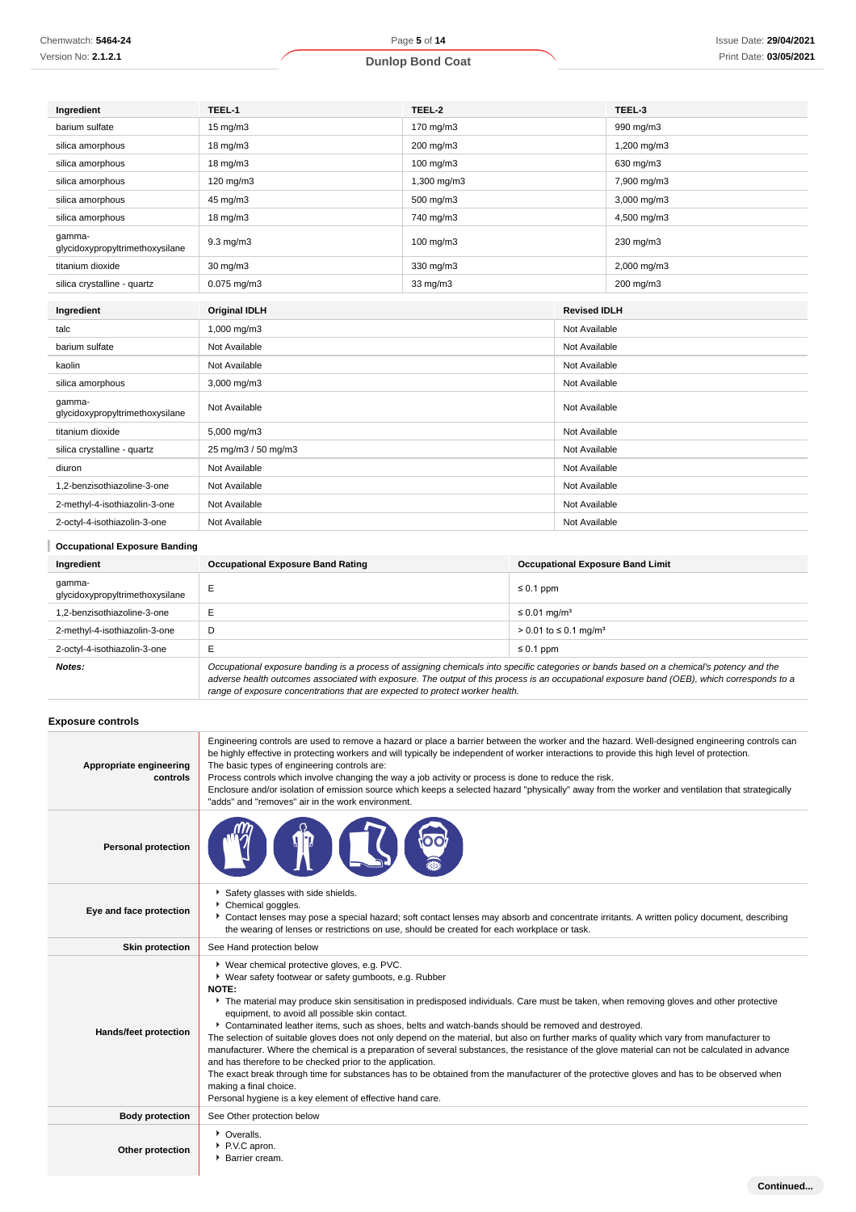| Chemwatch: 5464-24  |
|---------------------|
| Version No: 2.1.2.1 |

| Ingredient                                | TEEL-1               | TEEL-2      |                     | TEEL-3        |  |
|-------------------------------------------|----------------------|-------------|---------------------|---------------|--|
| barium sulfate                            | $15 \text{ mg/m}$    | 170 mg/m3   |                     | 990 mg/m3     |  |
| silica amorphous                          | 18 mg/m3             | 200 mg/m3   |                     | 1,200 mg/m3   |  |
| silica amorphous                          | 18 mg/m3             | 100 mg/m3   |                     | 630 mg/m3     |  |
| silica amorphous                          | 120 mg/m3            | 1,300 mg/m3 |                     | 7,900 mg/m3   |  |
| silica amorphous                          | 45 mg/m3             | 500 mg/m3   |                     | 3,000 mg/m3   |  |
| silica amorphous                          | 18 mg/m3             | 740 mg/m3   |                     | 4,500 mg/m3   |  |
| gamma-<br>glycidoxypropyltrimethoxysilane | $9.3$ mg/m $3$       | 100 mg/m3   |                     | 230 mg/m3     |  |
| titanium dioxide                          | 30 mg/m3             | 330 mg/m3   |                     | 2,000 mg/m3   |  |
| silica crystalline - quartz               | $0.075$ mg/m $3$     | 33 mg/m3    |                     | 200 mg/m3     |  |
| Ingredient                                | <b>Original IDLH</b> |             | <b>Revised IDLH</b> |               |  |
|                                           |                      |             |                     |               |  |
| talc                                      | 1,000 mg/m3          |             |                     | Not Available |  |
| barium sulfate                            | Not Available        |             |                     | Not Available |  |
| kaolin                                    | Not Available        |             | Not Available       |               |  |
| silica amorphous                          | 3,000 mg/m3          |             | Not Available       |               |  |
| qamma-<br>glycidoxypropyltrimethoxysilane | Not Available        |             | Not Available       |               |  |
| titanium dioxide                          | 5,000 mg/m3          |             | Not Available       |               |  |
| silica crystalline - quartz               | 25 mg/m3 / 50 mg/m3  |             | Not Available       |               |  |
| diuron                                    | Not Available        |             | Not Available       |               |  |
| 1.2-benzisothiazoline-3-one               | Not Available        |             | Not Available       |               |  |
| 2-methyl-4-isothiazolin-3-one             | Not Available        |             | Not Available       |               |  |
| 2-octyl-4-isothiazolin-3-one              | Not Available        |             | Not Available       |               |  |

| <b>Occupational Exposure Banding</b>      |                                                                                                                                                                                                                                                                                                        |                                         |  |  |
|-------------------------------------------|--------------------------------------------------------------------------------------------------------------------------------------------------------------------------------------------------------------------------------------------------------------------------------------------------------|-----------------------------------------|--|--|
| Ingredient                                | <b>Occupational Exposure Band Rating</b>                                                                                                                                                                                                                                                               | <b>Occupational Exposure Band Limit</b> |  |  |
| qamma-<br>glycidoxypropyltrimethoxysilane |                                                                                                                                                                                                                                                                                                        | $\leq 0.1$ ppm                          |  |  |
| .2-benzisothiazoline-3-one                |                                                                                                                                                                                                                                                                                                        | $\leq$ 0.01 mg/m <sup>3</sup>           |  |  |
| 2-methyl-4-isothiazolin-3-one             | D                                                                                                                                                                                                                                                                                                      | > 0.01 to ≤ 0.1 mg/m <sup>3</sup>       |  |  |
| 2-octyl-4-isothiazolin-3-one              |                                                                                                                                                                                                                                                                                                        | $\leq 0.1$ ppm                          |  |  |
| Notes:                                    | Occupational exposure banding is a process of assigning chemicals into specific categories or bands based on a chemical's potency and the<br>$\alpha$ discusses book the channel consisted with sympatics. The quintie of this process is an acquirational sympatry bond (OED), which corresponds to a |                                         |  |  |

adverse health outcomes associated with exposure. The output of this process is an occupational exposure band (OEB), which corresponds to a range of exposure concentrations that are expected to protect worker health.

#### **Exposure controls**

J.

| Appropriate engineering<br>controls | Engineering controls are used to remove a hazard or place a barrier between the worker and the hazard. Well-designed engineering controls can<br>be highly effective in protecting workers and will typically be independent of worker interactions to provide this high level of protection.<br>The basic types of engineering controls are:<br>Process controls which involve changing the way a job activity or process is done to reduce the risk.<br>Enclosure and/or isolation of emission source which keeps a selected hazard "physically" away from the worker and ventilation that strategically<br>"adds" and "removes" air in the work environment.                                                                                                                                                                                                                                                                                                                                                   |
|-------------------------------------|-------------------------------------------------------------------------------------------------------------------------------------------------------------------------------------------------------------------------------------------------------------------------------------------------------------------------------------------------------------------------------------------------------------------------------------------------------------------------------------------------------------------------------------------------------------------------------------------------------------------------------------------------------------------------------------------------------------------------------------------------------------------------------------------------------------------------------------------------------------------------------------------------------------------------------------------------------------------------------------------------------------------|
| <b>Personal protection</b>          |                                                                                                                                                                                                                                                                                                                                                                                                                                                                                                                                                                                                                                                                                                                                                                                                                                                                                                                                                                                                                   |
| Eye and face protection             | Safety glasses with side shields.<br>Chemical goggles.<br>Contact lenses may pose a special hazard; soft contact lenses may absorb and concentrate irritants. A written policy document, describing<br>the wearing of lenses or restrictions on use, should be created for each workplace or task.                                                                                                                                                                                                                                                                                                                                                                                                                                                                                                                                                                                                                                                                                                                |
| <b>Skin protection</b>              | See Hand protection below                                                                                                                                                                                                                                                                                                                                                                                                                                                                                                                                                                                                                                                                                                                                                                                                                                                                                                                                                                                         |
| Hands/feet protection               | ▶ Wear chemical protective gloves, e.g. PVC.<br>▶ Wear safety footwear or safety gumboots, e.g. Rubber<br>NOTE:<br>The material may produce skin sensitisation in predisposed individuals. Care must be taken, when removing gloves and other protective<br>equipment, to avoid all possible skin contact.<br>Contaminated leather items, such as shoes, belts and watch-bands should be removed and destroyed.<br>The selection of suitable gloves does not only depend on the material, but also on further marks of quality which vary from manufacturer to<br>manufacturer. Where the chemical is a preparation of several substances, the resistance of the glove material can not be calculated in advance<br>and has therefore to be checked prior to the application.<br>The exact break through time for substances has to be obtained from the manufacturer of the protective gloves and has to be observed when<br>making a final choice.<br>Personal hygiene is a key element of effective hand care. |
| <b>Body protection</b>              | See Other protection below                                                                                                                                                                                                                                                                                                                                                                                                                                                                                                                                                                                                                                                                                                                                                                                                                                                                                                                                                                                        |
| Other protection                    | • Overalls.<br>P.V.C apron.<br>Barrier cream.                                                                                                                                                                                                                                                                                                                                                                                                                                                                                                                                                                                                                                                                                                                                                                                                                                                                                                                                                                     |
|                                     | Continued                                                                                                                                                                                                                                                                                                                                                                                                                                                                                                                                                                                                                                                                                                                                                                                                                                                                                                                                                                                                         |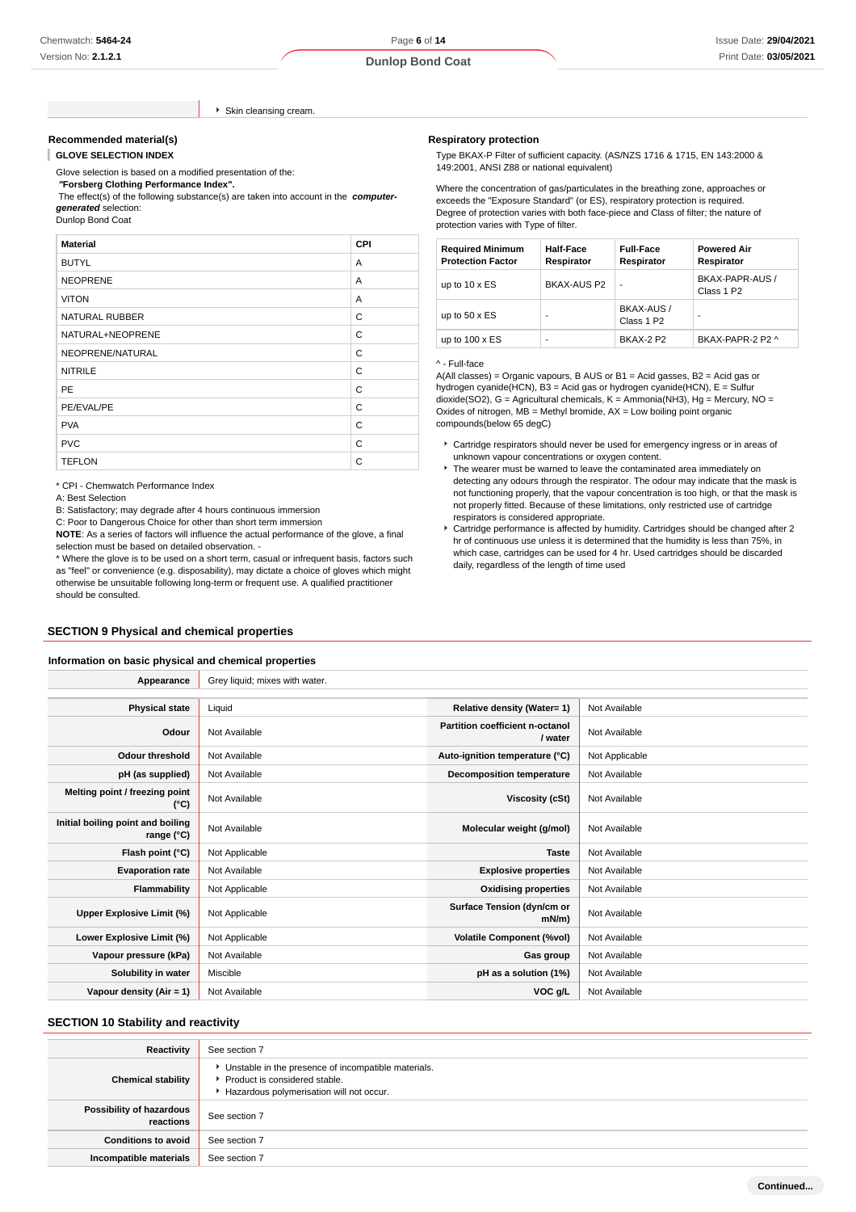#### Skin cleansing cream.

#### **Recommended material(s)**

ı **GLOVE SELECTION INDEX**

Glove selection is based on a modified presentation of the:

 **"Forsberg Clothing Performance Index".**

 The effect(s) of the following substance(s) are taken into account in the **computergenerated** selection:

Dunlop Bond Coat

| <b>Material</b>       | <b>CPI</b> |
|-----------------------|------------|
| <b>BUTYL</b>          | A          |
| <b>NEOPRENE</b>       | A          |
| <b>VITON</b>          | A          |
| <b>NATURAL RUBBER</b> | C          |
| NATURAL+NEOPRENE      | C          |
| NEOPRENE/NATURAL      | C          |
| <b>NITRILE</b>        | C          |
| <b>PE</b>             | C          |
| PE/EVAL/PE            | C          |
| <b>PVA</b>            | C          |
| <b>PVC</b>            | C          |
| <b>TEFLON</b>         | C          |

\* CPI - Chemwatch Performance Index

A: Best Selection

B: Satisfactory; may degrade after 4 hours continuous immersion

C: Poor to Dangerous Choice for other than short term immersion

**NOTE**: As a series of factors will influence the actual performance of the glove, a final selection must be based on detailed observation. -

\* Where the glove is to be used on a short term, casual or infrequent basis, factors such as "feel" or convenience (e.g. disposability), may dictate a choice of gloves which might otherwise be unsuitable following long-term or frequent use. A qualified practitioner should be consulted.

## **SECTION 9 Physical and chemical properties**

#### **Information on basic physical and chemical properties**

| Appearance                                      | Grey liquid; mixes with water. |                                            |                |
|-------------------------------------------------|--------------------------------|--------------------------------------------|----------------|
|                                                 |                                |                                            |                |
| <b>Physical state</b>                           | Liquid                         | Relative density (Water= 1)                | Not Available  |
| Odour                                           | Not Available                  | Partition coefficient n-octanol<br>/ water | Not Available  |
| Odour threshold                                 | Not Available                  | Auto-ignition temperature (°C)             | Not Applicable |
| pH (as supplied)                                | Not Available                  | <b>Decomposition temperature</b>           | Not Available  |
| Melting point / freezing point<br>$(^{\circ}C)$ | Not Available                  | Viscosity (cSt)                            | Not Available  |
| Initial boiling point and boiling<br>range (°C) | Not Available                  | Molecular weight (g/mol)                   | Not Available  |
| Flash point (°C)                                | Not Applicable                 | <b>Taste</b>                               | Not Available  |
| <b>Evaporation rate</b>                         | Not Available                  | <b>Explosive properties</b>                | Not Available  |
| Flammability                                    | Not Applicable                 | <b>Oxidising properties</b>                | Not Available  |
| Upper Explosive Limit (%)                       | Not Applicable                 | Surface Tension (dyn/cm or<br>mN/m         | Not Available  |
| Lower Explosive Limit (%)                       | Not Applicable                 | <b>Volatile Component (%vol)</b>           | Not Available  |
| Vapour pressure (kPa)                           | Not Available                  | Gas group                                  | Not Available  |
| Solubility in water                             | Miscible                       | pH as a solution (1%)                      | Not Available  |
| Vapour density (Air = 1)                        | Not Available                  | VOC g/L                                    | Not Available  |

#### **SECTION 10 Stability and reactivity**

| Reactivity                            | See section 7                                                                                                                        |
|---------------------------------------|--------------------------------------------------------------------------------------------------------------------------------------|
| <b>Chemical stability</b>             | • Unstable in the presence of incompatible materials.<br>▶ Product is considered stable.<br>Hazardous polymerisation will not occur. |
| Possibility of hazardous<br>reactions | See section 7                                                                                                                        |
| <b>Conditions to avoid</b>            | See section 7                                                                                                                        |
| Incompatible materials                | See section 7                                                                                                                        |

#### **Respiratory protection**

Type BKAX-P Filter of sufficient capacity. (AS/NZS 1716 & 1715, EN 143:2000 & 149:2001, ANSI Z88 or national equivalent)

Where the concentration of gas/particulates in the breathing zone, approaches or exceeds the "Exposure Standard" (or ES), respiratory protection is required. Degree of protection varies with both face-piece and Class of filter; the nature of protection varies with Type of filter.

| <b>Required Minimum</b><br><b>Protection Factor</b> | <b>Half-Face</b><br>Respirator | <b>Full-Face</b><br>Respirator       | <b>Powered Air</b><br>Respirator          |
|-----------------------------------------------------|--------------------------------|--------------------------------------|-------------------------------------------|
| up to $10 \times ES$                                | BKAX-AUS P2                    | ٠                                    | BKAX-PAPR-AUS /<br>Class 1 P <sub>2</sub> |
| up to $50 \times ES$                                |                                | BKAX-AUS /<br>Class 1 P <sub>2</sub> | ۰                                         |
| up to $100 \times ES$                               |                                | RKAX-2 P2                            | BKAX-PAPR-2 P2 ^                          |

#### ^ - Full-face

A(All classes) = Organic vapours, B AUS or B1 = Acid gasses, B2 = Acid gas or hydrogen cyanide(HCN), B3 = Acid gas or hydrogen cyanide(HCN), E = Sulfur dioxide(SO2), G = Agricultural chemicals, K = Ammonia(NH3), Hg = Mercury, NO = Oxides of nitrogen,  $MB =$  Methyl bromide,  $AX =$  Low boiling point organic compounds(below 65 degC)

- Cartridge respirators should never be used for emergency ingress or in areas of unknown vapour concentrations or oxygen content.
- The wearer must be warned to leave the contaminated area immediately on detecting any odours through the respirator. The odour may indicate that the mask is not functioning properly, that the vapour concentration is too high, or that the mask is not properly fitted. Because of these limitations, only restricted use of cartridge respirators is considered appropriate.
- Cartridge performance is affected by humidity. Cartridges should be changed after 2 hr of continuous use unless it is determined that the humidity is less than 75%, in which case, cartridges can be used for 4 hr. Used cartridges should be discarded daily, regardless of the length of time used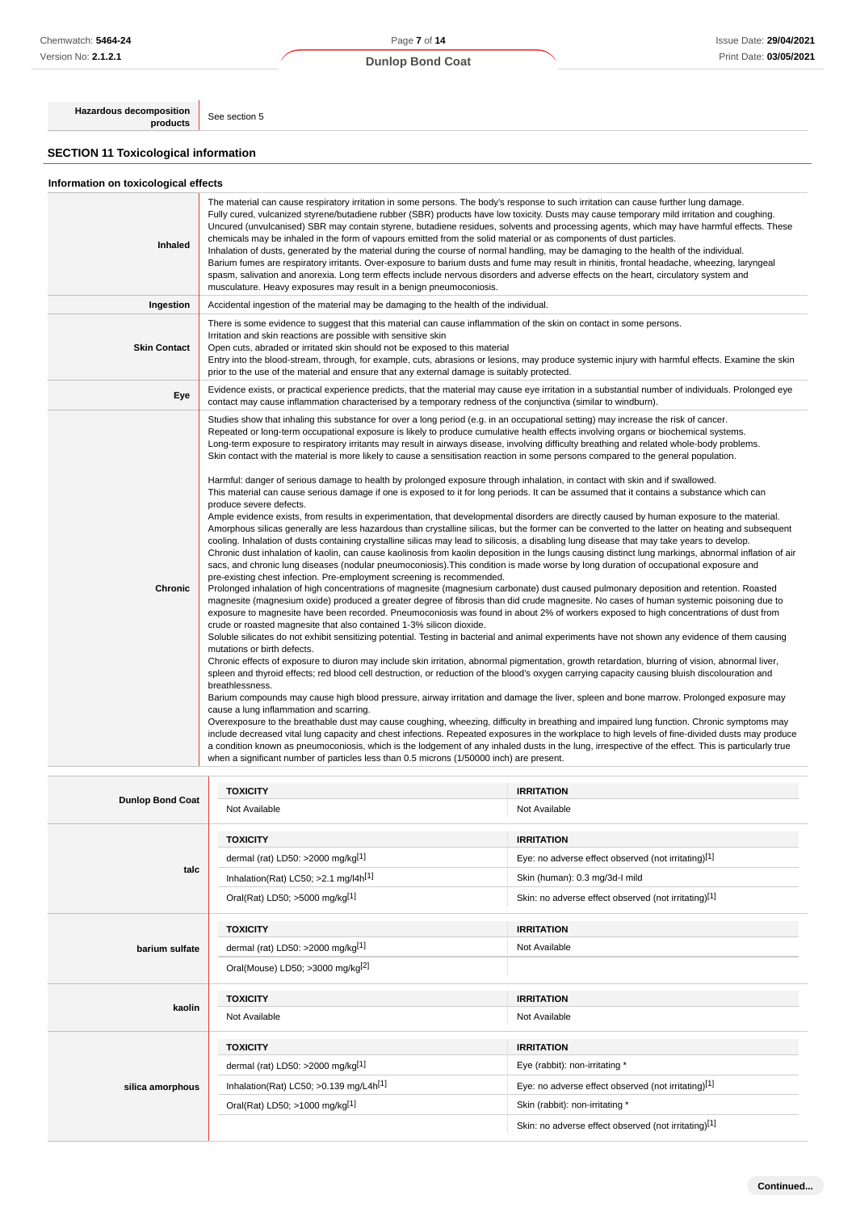**Hazardous decomposition**<br>**products** See section 5

## **SECTION 11 Toxicological information**

| Inhaled                 | The material can cause respiratory irritation in some persons. The body's response to such irritation can cause further lung damage.<br>Fully cured, vulcanized styrene/butadiene rubber (SBR) products have low toxicity. Dusts may cause temporary mild irritation and coughing.<br>Uncured (unvulcanised) SBR may contain styrene, butadiene residues, solvents and processing agents, which may have harmful effects. These<br>chemicals may be inhaled in the form of vapours emitted from the solid material or as components of dust particles.<br>Inhalation of dusts, generated by the material during the course of normal handling, may be damaging to the health of the individual.<br>Barium fumes are respiratory irritants. Over-exposure to barium dusts and fume may result in rhinitis, frontal headache, wheezing, laryngeal<br>spasm, salivation and anorexia. Long term effects include nervous disorders and adverse effects on the heart, circulatory system and<br>musculature. Heavy exposures may result in a benign pneumoconiosis.                                                                                                                                                                                                                                                                                                                                                                                                                                                                                                                                                                                                                                                                                                                                                                                                                                                                                                                                                                                                                                                                                                                                                                                                                                                                                                                                                                                                                                                                                                                                                                                                                                                                                                                                                                                                                                                                                                                                                                                                                                                                                                                                                                                                                                                                                                                                                                                                   |                                    |  |
|-------------------------|------------------------------------------------------------------------------------------------------------------------------------------------------------------------------------------------------------------------------------------------------------------------------------------------------------------------------------------------------------------------------------------------------------------------------------------------------------------------------------------------------------------------------------------------------------------------------------------------------------------------------------------------------------------------------------------------------------------------------------------------------------------------------------------------------------------------------------------------------------------------------------------------------------------------------------------------------------------------------------------------------------------------------------------------------------------------------------------------------------------------------------------------------------------------------------------------------------------------------------------------------------------------------------------------------------------------------------------------------------------------------------------------------------------------------------------------------------------------------------------------------------------------------------------------------------------------------------------------------------------------------------------------------------------------------------------------------------------------------------------------------------------------------------------------------------------------------------------------------------------------------------------------------------------------------------------------------------------------------------------------------------------------------------------------------------------------------------------------------------------------------------------------------------------------------------------------------------------------------------------------------------------------------------------------------------------------------------------------------------------------------------------------------------------------------------------------------------------------------------------------------------------------------------------------------------------------------------------------------------------------------------------------------------------------------------------------------------------------------------------------------------------------------------------------------------------------------------------------------------------------------------------------------------------------------------------------------------------------------------------------------------------------------------------------------------------------------------------------------------------------------------------------------------------------------------------------------------------------------------------------------------------------------------------------------------------------------------------------------------------------------------------------------------------------------------------------------------------|------------------------------------|--|
| Ingestion               | Accidental ingestion of the material may be damaging to the health of the individual.                                                                                                                                                                                                                                                                                                                                                                                                                                                                                                                                                                                                                                                                                                                                                                                                                                                                                                                                                                                                                                                                                                                                                                                                                                                                                                                                                                                                                                                                                                                                                                                                                                                                                                                                                                                                                                                                                                                                                                                                                                                                                                                                                                                                                                                                                                                                                                                                                                                                                                                                                                                                                                                                                                                                                                                                                                                                                                                                                                                                                                                                                                                                                                                                                                                                                                                                                                            |                                    |  |
| <b>Skin Contact</b>     | There is some evidence to suggest that this material can cause inflammation of the skin on contact in some persons.<br>Irritation and skin reactions are possible with sensitive skin<br>Open cuts, abraded or irritated skin should not be exposed to this material<br>Entry into the blood-stream, through, for example, cuts, abrasions or lesions, may produce systemic injury with harmful effects. Examine the skin<br>prior to the use of the material and ensure that any external damage is suitably protected.                                                                                                                                                                                                                                                                                                                                                                                                                                                                                                                                                                                                                                                                                                                                                                                                                                                                                                                                                                                                                                                                                                                                                                                                                                                                                                                                                                                                                                                                                                                                                                                                                                                                                                                                                                                                                                                                                                                                                                                                                                                                                                                                                                                                                                                                                                                                                                                                                                                                                                                                                                                                                                                                                                                                                                                                                                                                                                                                         |                                    |  |
| Eye                     | Evidence exists, or practical experience predicts, that the material may cause eye irritation in a substantial number of individuals. Prolonged eye<br>contact may cause inflammation characterised by a temporary redness of the conjunctiva (similar to windburn).                                                                                                                                                                                                                                                                                                                                                                                                                                                                                                                                                                                                                                                                                                                                                                                                                                                                                                                                                                                                                                                                                                                                                                                                                                                                                                                                                                                                                                                                                                                                                                                                                                                                                                                                                                                                                                                                                                                                                                                                                                                                                                                                                                                                                                                                                                                                                                                                                                                                                                                                                                                                                                                                                                                                                                                                                                                                                                                                                                                                                                                                                                                                                                                             |                                    |  |
| <b>Chronic</b>          | Studies show that inhaling this substance for over a long period (e.g. in an occupational setting) may increase the risk of cancer.<br>Repeated or long-term occupational exposure is likely to produce cumulative health effects involving organs or biochemical systems.<br>Long-term exposure to respiratory irritants may result in airways disease, involving difficulty breathing and related whole-body problems.<br>Skin contact with the material is more likely to cause a sensitisation reaction in some persons compared to the general population.<br>Harmful: danger of serious damage to health by prolonged exposure through inhalation, in contact with skin and if swallowed.<br>This material can cause serious damage if one is exposed to it for long periods. It can be assumed that it contains a substance which can<br>produce severe defects.<br>Ample evidence exists, from results in experimentation, that developmental disorders are directly caused by human exposure to the material.<br>Amorphous silicas generally are less hazardous than crystalline silicas, but the former can be converted to the latter on heating and subsequent<br>cooling. Inhalation of dusts containing crystalline silicas may lead to silicosis, a disabling lung disease that may take years to develop.<br>Chronic dust inhalation of kaolin, can cause kaolinosis from kaolin deposition in the lungs causing distinct lung markings, abnormal inflation of air<br>sacs, and chronic lung diseases (nodular pneumoconiosis). This condition is made worse by long duration of occupational exposure and<br>pre-existing chest infection. Pre-employment screening is recommended.<br>Prolonged inhalation of high concentrations of magnesite (magnesium carbonate) dust caused pulmonary deposition and retention. Roasted<br>magnesite (magnesium oxide) produced a greater degree of fibrosis than did crude magnesite. No cases of human systemic poisoning due to<br>exposure to magnesite have been recorded. Pneumoconiosis was found in about 2% of workers exposed to high concentrations of dust from<br>crude or roasted magnesite that also contained 1-3% silicon dioxide.<br>Soluble silicates do not exhibit sensitizing potential. Testing in bacterial and animal experiments have not shown any evidence of them causing<br>mutations or birth defects.<br>Chronic effects of exposure to diuron may include skin irritation, abnormal pigmentation, growth retardation, blurring of vision, abnormal liver,<br>spleen and thyroid effects; red blood cell destruction, or reduction of the blood's oxygen carrying capacity causing bluish discolouration and<br>breathlessness.<br>Barium compounds may cause high blood pressure, airway irritation and damage the liver, spleen and bone marrow. Prolonged exposure may<br>cause a lung inflammation and scarring.<br>Overexposure to the breathable dust may cause coughing, wheezing, difficulty in breathing and impaired lung function. Chronic symptoms may<br>include decreased vital lung capacity and chest infections. Repeated exposures in the workplace to high levels of fine-divided dusts may produce<br>a condition known as pneumoconiosis, which is the lodgement of any inhaled dusts in the lung, irrespective of the effect. This is particularly true<br>when a significant number of particles less than 0.5 microns (1/50000 inch) are present. |                                    |  |
|                         |                                                                                                                                                                                                                                                                                                                                                                                                                                                                                                                                                                                                                                                                                                                                                                                                                                                                                                                                                                                                                                                                                                                                                                                                                                                                                                                                                                                                                                                                                                                                                                                                                                                                                                                                                                                                                                                                                                                                                                                                                                                                                                                                                                                                                                                                                                                                                                                                                                                                                                                                                                                                                                                                                                                                                                                                                                                                                                                                                                                                                                                                                                                                                                                                                                                                                                                                                                                                                                                                  |                                    |  |
| <b>Dunlop Bond Coat</b> | <b>TOXICITY</b><br>Not Available                                                                                                                                                                                                                                                                                                                                                                                                                                                                                                                                                                                                                                                                                                                                                                                                                                                                                                                                                                                                                                                                                                                                                                                                                                                                                                                                                                                                                                                                                                                                                                                                                                                                                                                                                                                                                                                                                                                                                                                                                                                                                                                                                                                                                                                                                                                                                                                                                                                                                                                                                                                                                                                                                                                                                                                                                                                                                                                                                                                                                                                                                                                                                                                                                                                                                                                                                                                                                                 | <b>IRRITATION</b><br>Not Available |  |

|                         | <b>IUAUIL</b>                                        | IRRIIAIIUN                                           |  |
|-------------------------|------------------------------------------------------|------------------------------------------------------|--|
| <b>Dunlop Bond Coat</b> | Not Available                                        | Not Available                                        |  |
|                         | <b>TOXICITY</b>                                      | <b>IRRITATION</b>                                    |  |
|                         | dermal (rat) LD50: >2000 mg/kg[1]                    | Eye: no adverse effect observed (not irritating)[1]  |  |
| talc                    | Inhalation(Rat) LC50; > 2.1 mg/l4h <sup>[1]</sup>    | Skin (human): 0.3 mg/3d-l mild                       |  |
|                         | Oral(Rat) LD50; >5000 mg/kg[1]                       | Skin: no adverse effect observed (not irritating)[1] |  |
|                         | <b>TOXICITY</b>                                      | <b>IRRITATION</b>                                    |  |
| barium sulfate          | dermal (rat) LD50: >2000 mg/kg <sup>[1]</sup>        | Not Available                                        |  |
|                         | Oral(Mouse) LD50; >3000 mg/kg <sup>[2]</sup>         |                                                      |  |
|                         | <b>TOXICITY</b>                                      | <b>IRRITATION</b>                                    |  |
| kaolin                  | Not Available                                        | Not Available                                        |  |
|                         | <b>TOXICITY</b>                                      | <b>IRRITATION</b>                                    |  |
| silica amorphous        | dermal (rat) LD50: $>2000$ mg/kg <sup>[1]</sup>      | Eye (rabbit): non-irritating *                       |  |
|                         | Inhalation(Rat) LC50; $>0.139$ mg/L4h <sup>[1]</sup> | Eye: no adverse effect observed (not irritating)[1]  |  |
|                         | Oral(Rat) LD50; >1000 mg/kg[1]                       | Skin (rabbit): non-irritating *                      |  |
|                         |                                                      | Skin: no adverse effect observed (not irritating)[1] |  |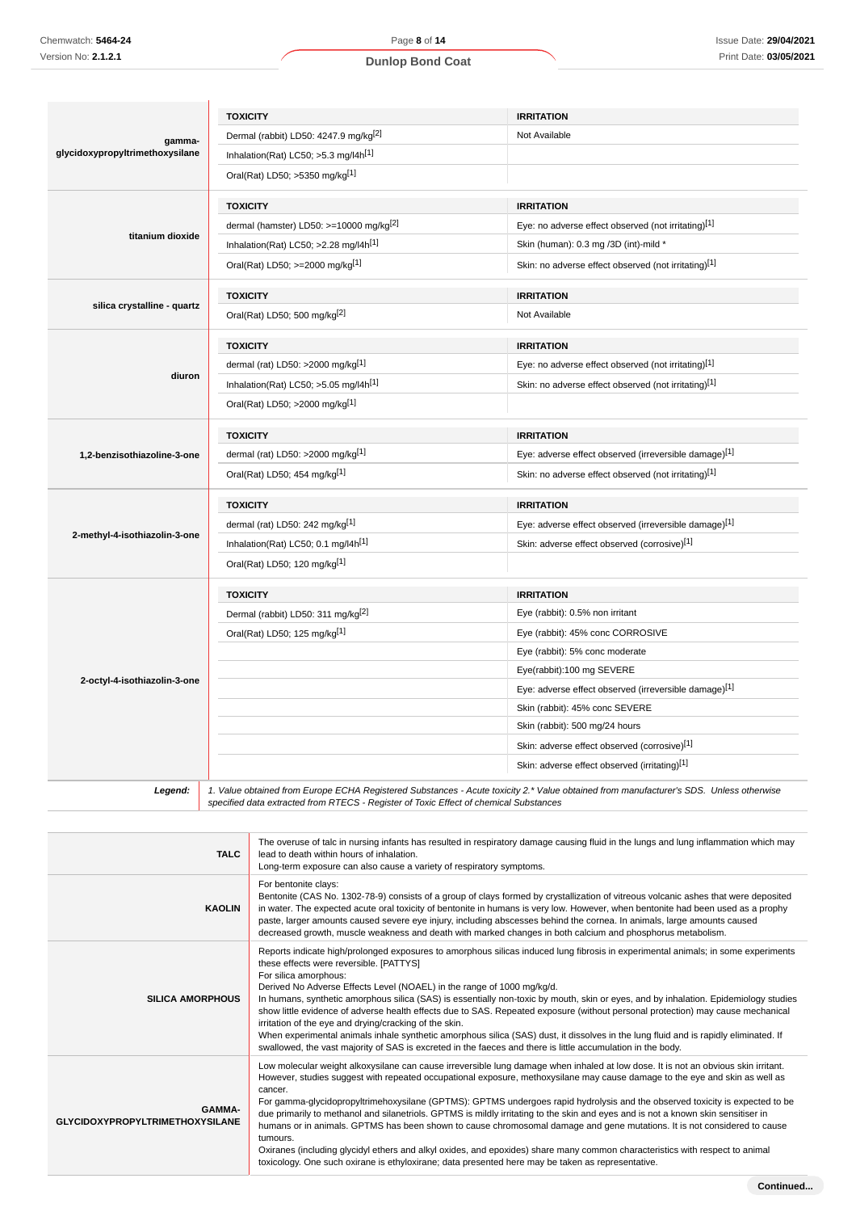## **Dunlop Bond Coat**

|                                           | <b>TOXICITY</b>                                                                                                                                                                                                                 | <b>IRRITATION</b>                                     |
|-------------------------------------------|---------------------------------------------------------------------------------------------------------------------------------------------------------------------------------------------------------------------------------|-------------------------------------------------------|
| gamma-<br>glycidoxypropyltrimethoxysilane | Dermal (rabbit) LD50: 4247.9 mg/kg <sup>[2]</sup>                                                                                                                                                                               | Not Available                                         |
|                                           | Inhalation(Rat) LC50; >5.3 mg/l4h <sup>[1]</sup>                                                                                                                                                                                |                                                       |
|                                           | Oral(Rat) LD50; >5350 mg/kg[1]                                                                                                                                                                                                  |                                                       |
|                                           | <b>TOXICITY</b>                                                                                                                                                                                                                 | <b>IRRITATION</b>                                     |
|                                           | dermal (hamster) LD50: >=10000 mg/kg[2]                                                                                                                                                                                         | Eye: no adverse effect observed (not irritating)[1]   |
| titanium dioxide                          | Inhalation(Rat) LC50; >2.28 mg/l4h <sup>[1]</sup>                                                                                                                                                                               | Skin (human): 0.3 mg /3D (int)-mild *                 |
|                                           | Oral(Rat) LD50; >=2000 mg/kg[1]                                                                                                                                                                                                 | Skin: no adverse effect observed (not irritating)[1]  |
|                                           | <b>TOXICITY</b>                                                                                                                                                                                                                 | <b>IRRITATION</b>                                     |
| silica crystalline - quartz               | Oral(Rat) LD50; 500 mg/kg <sup>[2]</sup>                                                                                                                                                                                        | Not Available                                         |
|                                           | <b>TOXICITY</b>                                                                                                                                                                                                                 | <b>IRRITATION</b>                                     |
|                                           | dermal (rat) LD50: >2000 mg/kg <sup>[1]</sup>                                                                                                                                                                                   | Eye: no adverse effect observed (not irritating)[1]   |
| diuron                                    | Inhalation(Rat) LC50; $>5.05$ mg/l4h <sup>[1]</sup>                                                                                                                                                                             | Skin: no adverse effect observed (not irritating)[1]  |
|                                           | Oral(Rat) LD50; >2000 mg/kg[1]                                                                                                                                                                                                  |                                                       |
|                                           | <b>TOXICITY</b>                                                                                                                                                                                                                 | <b>IRRITATION</b>                                     |
| 1,2-benzisothiazoline-3-one               | dermal (rat) LD50: >2000 mg/kg <sup>[1]</sup>                                                                                                                                                                                   | Eye: adverse effect observed (irreversible damage)[1] |
|                                           | Oral(Rat) LD50; 454 mg/kg[1]                                                                                                                                                                                                    | Skin: no adverse effect observed (not irritating)[1]  |
|                                           | <b>TOXICITY</b>                                                                                                                                                                                                                 | <b>IRRITATION</b>                                     |
|                                           | dermal (rat) LD50: 242 mg/kg $[1]$                                                                                                                                                                                              | Eye: adverse effect observed (irreversible damage)[1] |
| 2-methyl-4-isothiazolin-3-one             | Inhalation(Rat) LC50; 0.1 mg/l4h <sup>[1]</sup>                                                                                                                                                                                 | Skin: adverse effect observed (corrosive)[1]          |
|                                           | Oral(Rat) LD50; 120 mg/kg[1]                                                                                                                                                                                                    |                                                       |
|                                           | <b>TOXICITY</b>                                                                                                                                                                                                                 | <b>IRRITATION</b>                                     |
|                                           | Dermal (rabbit) LD50: 311 mg/kg <sup>[2]</sup>                                                                                                                                                                                  | Eye (rabbit): 0.5% non irritant                       |
|                                           | Oral(Rat) LD50; 125 mg/kg[1]                                                                                                                                                                                                    | Eye (rabbit): 45% conc CORROSIVE                      |
|                                           |                                                                                                                                                                                                                                 | Eye (rabbit): 5% conc moderate                        |
|                                           |                                                                                                                                                                                                                                 | Eye(rabbit):100 mg SEVERE                             |
| 2-octyl-4-isothiazolin-3-one              |                                                                                                                                                                                                                                 | Eye: adverse effect observed (irreversible damage)[1] |
|                                           |                                                                                                                                                                                                                                 | Skin (rabbit): 45% conc SEVERE                        |
|                                           |                                                                                                                                                                                                                                 | Skin (rabbit): 500 mg/24 hours                        |
|                                           |                                                                                                                                                                                                                                 | Skin: adverse effect observed (corrosive)[1]          |
|                                           |                                                                                                                                                                                                                                 | Skin: adverse effect observed (irritating)[1]         |
| Legend:                                   | 1. Value obtained from Europe ECHA Registered Substances - Acute toxicity 2.* Value obtained from manufacturer's SDS. Unless otherwise<br>specified data extracted from RTECS - Register of Toxic Effect of chemical Substances |                                                       |

**TALC** The overuse of talc in nursing infants has resulted in respiratory damage causing fluid in the lungs and lung inflammation which may lead to death within hours of inhalation. Long-term exposure can also cause a variety of respiratory symptoms. **KAOLIN** For bentonite clays: Bentonite (CAS No. 1302-78-9) consists of a group of clays formed by crystallization of vitreous volcanic ashes that were deposited in water. The expected acute oral toxicity of bentonite in humans is very low. However, when bentonite had been used as a prophy paste, larger amounts caused severe eye injury, including abscesses behind the cornea. In animals, large amounts caused decreased growth, muscle weakness and death with marked changes in both calcium and phosphorus metabolism. **SILICA AMORPHOUS** Reports indicate high/prolonged exposures to amorphous silicas induced lung fibrosis in experimental animals; in some experiments these effects were reversible. [PATTYS] For silica amorphous: Derived No Adverse Effects Level (NOAEL) in the range of 1000 mg/kg/d. In humans, synthetic amorphous silica (SAS) is essentially non-toxic by mouth, skin or eyes, and by inhalation. Epidemiology studies show little evidence of adverse health effects due to SAS. Repeated exposure (without personal protection) may cause mechanical irritation of the eye and drying/cracking of the skin. When experimental animals inhale synthetic amorphous silica (SAS) dust, it dissolves in the lung fluid and is rapidly eliminated. If swallowed, the vast majority of SAS is excreted in the faeces and there is little accumulation in the body. **GAMMA-GLYCIDOXYPROPYLTRIMETHOXYSILANE** Low molecular weight alkoxysilane can cause irreversible lung damage when inhaled at low dose. It is not an obvious skin irritant. However, studies suggest with repeated occupational exposure, methoxysilane may cause damage to the eye and skin as well as cancer. For gamma-glycidopropyltrimehoxysilane (GPTMS): GPTMS undergoes rapid hydrolysis and the observed toxicity is expected to be due primarily to methanol and silanetriols. GPTMS is mildly irritating to the skin and eyes and is not a known skin sensitiser in humans or in animals. GPTMS has been shown to cause chromosomal damage and gene mutations. It is not considered to cause tumours. Oxiranes (including glycidyl ethers and alkyl oxides, and epoxides) share many common characteristics with respect to animal toxicology. One such oxirane is ethyloxirane; data presented here may be taken as representative.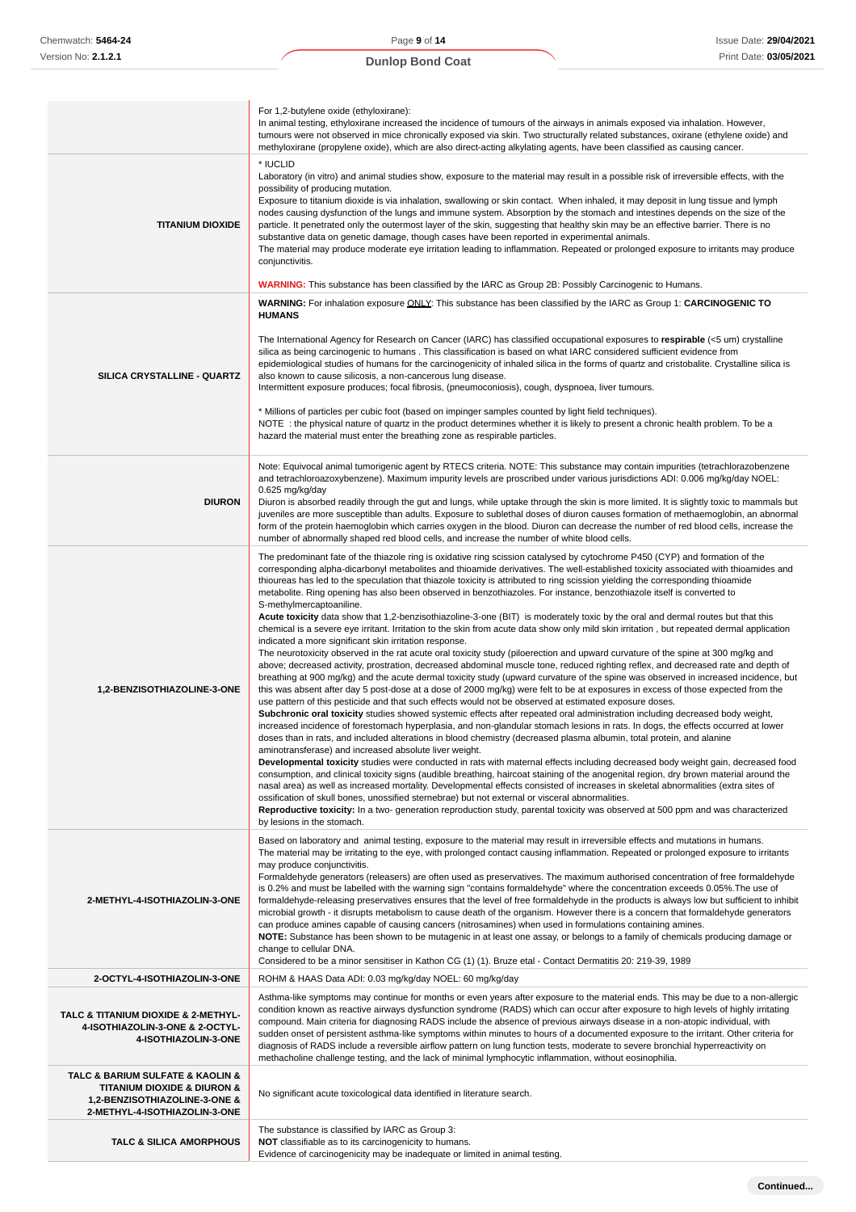|                                                                                                                                                  | For 1,2-butylene oxide (ethyloxirane):<br>In animal testing, ethyloxirane increased the incidence of tumours of the airways in animals exposed via inhalation. However,<br>tumours were not observed in mice chronically exposed via skin. Two structurally related substances, oxirane (ethylene oxide) and<br>methyloxirane (propylene oxide), which are also direct-acting alkylating agents, have been classified as causing cancer.                                                                                                                                                                                                                                                                                                                                                                                                                                                                                                                                                                                                                                                                                                                                                                                                                                                                                                                                                                                                                                                                                                                                                                                                                                                                                                                                                                                                                                                                                                                                                                                                                                                                                                                                                                                                                                                                                                                                                                                                                                                                                                                                                                                                                                                                           |
|--------------------------------------------------------------------------------------------------------------------------------------------------|--------------------------------------------------------------------------------------------------------------------------------------------------------------------------------------------------------------------------------------------------------------------------------------------------------------------------------------------------------------------------------------------------------------------------------------------------------------------------------------------------------------------------------------------------------------------------------------------------------------------------------------------------------------------------------------------------------------------------------------------------------------------------------------------------------------------------------------------------------------------------------------------------------------------------------------------------------------------------------------------------------------------------------------------------------------------------------------------------------------------------------------------------------------------------------------------------------------------------------------------------------------------------------------------------------------------------------------------------------------------------------------------------------------------------------------------------------------------------------------------------------------------------------------------------------------------------------------------------------------------------------------------------------------------------------------------------------------------------------------------------------------------------------------------------------------------------------------------------------------------------------------------------------------------------------------------------------------------------------------------------------------------------------------------------------------------------------------------------------------------------------------------------------------------------------------------------------------------------------------------------------------------------------------------------------------------------------------------------------------------------------------------------------------------------------------------------------------------------------------------------------------------------------------------------------------------------------------------------------------------------------------------------------------------------------------------------------------------|
| <b>TITANIUM DIOXIDE</b>                                                                                                                          | * IUCLID<br>Laboratory (in vitro) and animal studies show, exposure to the material may result in a possible risk of irreversible effects, with the<br>possibility of producing mutation.<br>Exposure to titanium dioxide is via inhalation, swallowing or skin contact. When inhaled, it may deposit in lung tissue and lymph<br>nodes causing dysfunction of the lungs and immune system. Absorption by the stomach and intestines depends on the size of the<br>particle. It penetrated only the outermost layer of the skin, suggesting that healthy skin may be an effective barrier. There is no<br>substantive data on genetic damage, though cases have been reported in experimental animals.<br>The material may produce moderate eye irritation leading to inflammation. Repeated or prolonged exposure to irritants may produce<br>conjunctivitis.<br><b>WARNING:</b> This substance has been classified by the IARC as Group 2B: Possibly Carcinogenic to Humans.                                                                                                                                                                                                                                                                                                                                                                                                                                                                                                                                                                                                                                                                                                                                                                                                                                                                                                                                                                                                                                                                                                                                                                                                                                                                                                                                                                                                                                                                                                                                                                                                                                                                                                                                     |
| SILICA CRYSTALLINE - QUARTZ                                                                                                                      | WARNING: For inhalation exposure ONLY: This substance has been classified by the IARC as Group 1: CARCINOGENIC TO<br><b>HUMANS</b><br>The International Agency for Research on Cancer (IARC) has classified occupational exposures to respirable $\leq 5$ um) crystalline<br>silica as being carcinogenic to humans. This classification is based on what IARC considered sufficient evidence from<br>epidemiological studies of humans for the carcinogenicity of inhaled silica in the forms of quartz and cristobalite. Crystalline silica is<br>also known to cause silicosis, a non-cancerous lung disease.<br>Intermittent exposure produces; focal fibrosis, (pneumoconiosis), cough, dyspnoea, liver tumours.<br>* Millions of particles per cubic foot (based on impinger samples counted by light field techniques).<br>NOTE: the physical nature of quartz in the product determines whether it is likely to present a chronic health problem. To be a<br>hazard the material must enter the breathing zone as respirable particles.                                                                                                                                                                                                                                                                                                                                                                                                                                                                                                                                                                                                                                                                                                                                                                                                                                                                                                                                                                                                                                                                                                                                                                                                                                                                                                                                                                                                                                                                                                                                                                                                                                                                    |
| <b>DIURON</b>                                                                                                                                    | Note: Equivocal animal tumorigenic agent by RTECS criteria. NOTE: This substance may contain impurities (tetrachlorazobenzene<br>and tetrachloroazoxybenzene). Maximum impurity levels are proscribed under various jurisdictions ADI: 0.006 mg/kg/day NOEL:<br>0.625 mg/kg/day<br>Diuron is absorbed readily through the gut and lungs, while uptake through the skin is more limited. It is slightly toxic to mammals but<br>juveniles are more susceptible than adults. Exposure to sublethal doses of diuron causes formation of methaemoglobin, an abnormal<br>form of the protein haemoglobin which carries oxygen in the blood. Diuron can decrease the number of red blood cells, increase the<br>number of abnormally shaped red blood cells, and increase the number of white blood cells.                                                                                                                                                                                                                                                                                                                                                                                                                                                                                                                                                                                                                                                                                                                                                                                                                                                                                                                                                                                                                                                                                                                                                                                                                                                                                                                                                                                                                                                                                                                                                                                                                                                                                                                                                                                                                                                                                                               |
| 1,2-BENZISOTHIAZOLINE-3-ONE                                                                                                                      | The predominant fate of the thiazole ring is oxidative ring scission catalysed by cytochrome P450 (CYP) and formation of the<br>corresponding alpha-dicarbonyl metabolites and thioamide derivatives. The well-established toxicity associated with thioamides and<br>thioureas has led to the speculation that thiazole toxicity is attributed to ring scission yielding the corresponding thioamide<br>metabolite. Ring opening has also been observed in benzothiazoles. For instance, benzothiazole itself is converted to<br>S-methylmercaptoaniline.<br>Acute toxicity data show that 1,2-benzisothiazoline-3-one (BIT) is moderately toxic by the oral and dermal routes but that this<br>chemical is a severe eye irritant. Irritation to the skin from acute data show only mild skin irritation, but repeated dermal application<br>indicated a more significant skin irritation response.<br>The neurotoxicity observed in the rat acute oral toxicity study (piloerection and upward curvature of the spine at 300 mg/kg and<br>above; decreased activity, prostration, decreased abdominal muscle tone, reduced righting reflex, and decreased rate and depth of<br>breathing at 900 mg/kg) and the acute dermal toxicity study (upward curvature of the spine was observed in increased incidence, but<br>this was absent after day 5 post-dose at a dose of 2000 mg/kg) were felt to be at exposures in excess of those expected from the<br>use pattern of this pesticide and that such effects would not be observed at estimated exposure doses.<br>Subchronic oral toxicity studies showed systemic effects after repeated oral administration including decreased body weight,<br>increased incidence of forestomach hyperplasia, and non-glandular stomach lesions in rats. In dogs, the effects occurred at lower<br>doses than in rats, and included alterations in blood chemistry (decreased plasma albumin, total protein, and alanine<br>aminotransferase) and increased absolute liver weight.<br>Developmental toxicity studies were conducted in rats with maternal effects including decreased body weight gain, decreased food<br>consumption, and clinical toxicity signs (audible breathing, haircoat staining of the anogenital region, dry brown material around the<br>nasal area) as well as increased mortality. Developmental effects consisted of increases in skeletal abnormalities (extra sites of<br>ossification of skull bones, unossified sternebrae) but not external or visceral abnormalities.<br>Reproductive toxicity: In a two- generation reproduction study, parental toxicity was observed at 500 ppm and was characterized<br>by lesions in the stomach. |
| 2-METHYL-4-ISOTHIAZOLIN-3-ONE                                                                                                                    | Based on laboratory and animal testing, exposure to the material may result in irreversible effects and mutations in humans.<br>The material may be irritating to the eye, with prolonged contact causing inflammation. Repeated or prolonged exposure to irritants<br>may produce conjunctivitis.<br>Formaldehyde generators (releasers) are often used as preservatives. The maximum authorised concentration of free formaldehyde<br>is 0.2% and must be labelled with the warning sign "contains formaldehyde" where the concentration exceeds 0.05%. The use of<br>formaldehyde-releasing preservatives ensures that the level of free formaldehyde in the products is always low but sufficient to inhibit<br>microbial growth - it disrupts metabolism to cause death of the organism. However there is a concern that formaldehyde generators<br>can produce amines capable of causing cancers (nitrosamines) when used in formulations containing amines.<br>NOTE: Substance has been shown to be mutagenic in at least one assay, or belongs to a family of chemicals producing damage or<br>change to cellular DNA.<br>Considered to be a minor sensitiser in Kathon CG (1) (1). Bruze etal - Contact Dermatitis 20: 219-39, 1989                                                                                                                                                                                                                                                                                                                                                                                                                                                                                                                                                                                                                                                                                                                                                                                                                                                                                                                                                                                                                                                                                                                                                                                                                                                                                                                                                                                                                                                                       |
| 2-OCTYL-4-ISOTHIAZOLIN-3-ONE                                                                                                                     | ROHM & HAAS Data ADI: 0.03 mg/kg/day NOEL: 60 mg/kg/day                                                                                                                                                                                                                                                                                                                                                                                                                                                                                                                                                                                                                                                                                                                                                                                                                                                                                                                                                                                                                                                                                                                                                                                                                                                                                                                                                                                                                                                                                                                                                                                                                                                                                                                                                                                                                                                                                                                                                                                                                                                                                                                                                                                                                                                                                                                                                                                                                                                                                                                                                                                                                                                            |
| TALC & TITANIUM DIOXIDE & 2-METHYL-<br>4-ISOTHIAZOLIN-3-ONE & 2-OCTYL-<br><b>4-ISOTHIAZOLIN-3-ONE</b>                                            | Asthma-like symptoms may continue for months or even years after exposure to the material ends. This may be due to a non-allergic<br>condition known as reactive airways dysfunction syndrome (RADS) which can occur after exposure to high levels of highly irritating<br>compound. Main criteria for diagnosing RADS include the absence of previous airways disease in a non-atopic individual, with<br>sudden onset of persistent asthma-like symptoms within minutes to hours of a documented exposure to the irritant. Other criteria for<br>diagnosis of RADS include a reversible airflow pattern on lung function tests, moderate to severe bronchial hyperreactivity on<br>methacholine challenge testing, and the lack of minimal lymphocytic inflammation, without eosinophilia.                                                                                                                                                                                                                                                                                                                                                                                                                                                                                                                                                                                                                                                                                                                                                                                                                                                                                                                                                                                                                                                                                                                                                                                                                                                                                                                                                                                                                                                                                                                                                                                                                                                                                                                                                                                                                                                                                                                       |
| TALC & BARIUM SULFATE & KAOLIN &<br><b>TITANIUM DIOXIDE &amp; DIURON &amp;</b><br>1,2-BENZISOTHIAZOLINE-3-ONE &<br>2-METHYL-4-ISOTHIAZOLIN-3-ONE | No significant acute toxicological data identified in literature search.                                                                                                                                                                                                                                                                                                                                                                                                                                                                                                                                                                                                                                                                                                                                                                                                                                                                                                                                                                                                                                                                                                                                                                                                                                                                                                                                                                                                                                                                                                                                                                                                                                                                                                                                                                                                                                                                                                                                                                                                                                                                                                                                                                                                                                                                                                                                                                                                                                                                                                                                                                                                                                           |
| <b>TALC &amp; SILICA AMORPHOUS</b>                                                                                                               | The substance is classified by IARC as Group 3:<br>NOT classifiable as to its carcinogenicity to humans.<br>Evidence of carcinogenicity may be inadequate or limited in animal testing.                                                                                                                                                                                                                                                                                                                                                                                                                                                                                                                                                                                                                                                                                                                                                                                                                                                                                                                                                                                                                                                                                                                                                                                                                                                                                                                                                                                                                                                                                                                                                                                                                                                                                                                                                                                                                                                                                                                                                                                                                                                                                                                                                                                                                                                                                                                                                                                                                                                                                                                            |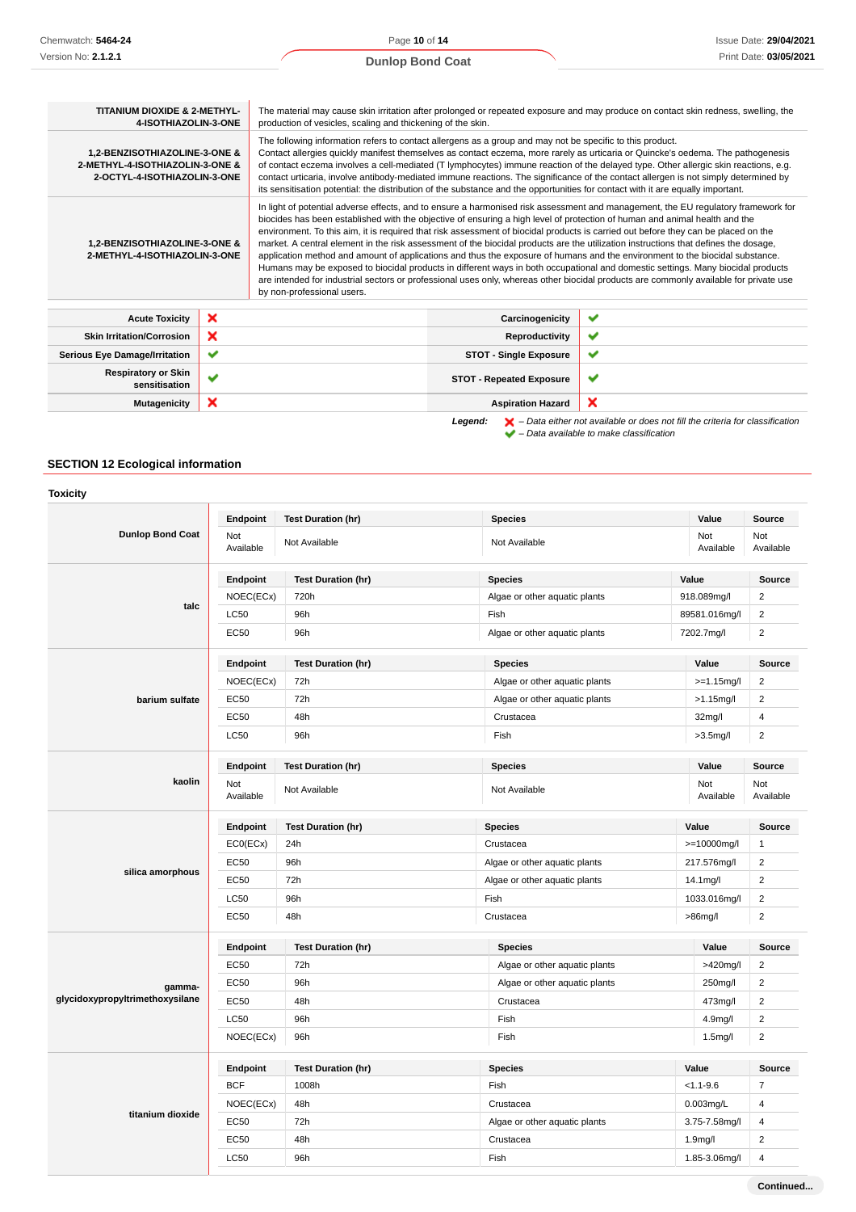Page **10** of **14 Dunlop Bond Coat**

| <b>TITANIUM DIOXIDE &amp; 2-METHYL-</b><br>4-ISOTHIAZOLIN-3-ONE                                                                                                                                                                                                                                                                                                                                                                                                                                                                                                                                                                                                                                                                                                                                                                                                                                                                                                                                                                                          |              | The material may cause skin irritation after prolonged or repeated exposure and may produce on contact skin redness, swelling, the<br>production of vesicles, scaling and thickening of the skin.                                                                                                                                                                                                                                                                                                                                                                                                                                                             |              |  |
|----------------------------------------------------------------------------------------------------------------------------------------------------------------------------------------------------------------------------------------------------------------------------------------------------------------------------------------------------------------------------------------------------------------------------------------------------------------------------------------------------------------------------------------------------------------------------------------------------------------------------------------------------------------------------------------------------------------------------------------------------------------------------------------------------------------------------------------------------------------------------------------------------------------------------------------------------------------------------------------------------------------------------------------------------------|--------------|---------------------------------------------------------------------------------------------------------------------------------------------------------------------------------------------------------------------------------------------------------------------------------------------------------------------------------------------------------------------------------------------------------------------------------------------------------------------------------------------------------------------------------------------------------------------------------------------------------------------------------------------------------------|--------------|--|
| 1,2-BENZISOTHIAZOLINE-3-ONE &<br>2-METHYL-4-ISOTHIAZOLIN-3-ONE &<br>2-OCTYL-4-ISOTHIAZOLIN-3-ONE                                                                                                                                                                                                                                                                                                                                                                                                                                                                                                                                                                                                                                                                                                                                                                                                                                                                                                                                                         |              | The following information refers to contact allergens as a group and may not be specific to this product.<br>Contact allergies quickly manifest themselves as contact eczema, more rarely as urticaria or Quincke's oedema. The pathogenesis<br>of contact eczema involves a cell-mediated (T lymphocytes) immune reaction of the delayed type. Other allergic skin reactions, e.g.<br>contact urticaria, involve antibody-mediated immune reactions. The significance of the contact allergen is not simply determined by<br>its sensitisation potential: the distribution of the substance and the opportunities for contact with it are equally important. |              |  |
| In light of potential adverse effects, and to ensure a harmonised risk assessment and management, the EU regulatory framework for<br>biocides has been established with the objective of ensuring a high level of protection of human and animal health and the<br>environment. To this aim, it is required that risk assessment of biocidal products is carried out before they can be placed on the<br>market. A central element in the risk assessment of the biocidal products are the utilization instructions that defines the dosage,<br>1,2-BENZISOTHIAZOLINE-3-ONE &<br>2-METHYL-4-ISOTHIAZOLIN-3-ONE<br>application method and amount of applications and thus the exposure of humans and the environment to the biocidal substance.<br>Humans may be exposed to biocidal products in different ways in both occupational and domestic settings. Many biocidal products<br>are intended for industrial sectors or professional uses only, whereas other biocidal products are commonly available for private use<br>by non-professional users. |              |                                                                                                                                                                                                                                                                                                                                                                                                                                                                                                                                                                                                                                                               |              |  |
| <b>Acute Toxicity</b>                                                                                                                                                                                                                                                                                                                                                                                                                                                                                                                                                                                                                                                                                                                                                                                                                                                                                                                                                                                                                                    | ×            | Carcinogenicity                                                                                                                                                                                                                                                                                                                                                                                                                                                                                                                                                                                                                                               | ✔            |  |
| <b>Skin Irritation/Corrosion</b>                                                                                                                                                                                                                                                                                                                                                                                                                                                                                                                                                                                                                                                                                                                                                                                                                                                                                                                                                                                                                         | ×            | Reproductivity                                                                                                                                                                                                                                                                                                                                                                                                                                                                                                                                                                                                                                                | ✔            |  |
| <b>Serious Eye Damage/Irritation</b>                                                                                                                                                                                                                                                                                                                                                                                                                                                                                                                                                                                                                                                                                                                                                                                                                                                                                                                                                                                                                     | ✔            | <b>STOT - Single Exposure</b>                                                                                                                                                                                                                                                                                                                                                                                                                                                                                                                                                                                                                                 | ✔            |  |
| <b>Respiratory or Skin</b><br>sensitisation                                                                                                                                                                                                                                                                                                                                                                                                                                                                                                                                                                                                                                                                                                                                                                                                                                                                                                                                                                                                              | $\checkmark$ | <b>STOT - Repeated Exposure</b>                                                                                                                                                                                                                                                                                                                                                                                                                                                                                                                                                                                                                               | $\checkmark$ |  |
| <b>Mutagenicity</b>                                                                                                                                                                                                                                                                                                                                                                                                                                                                                                                                                                                                                                                                                                                                                                                                                                                                                                                                                                                                                                      | ×            | <b>Aspiration Hazard</b>                                                                                                                                                                                                                                                                                                                                                                                                                                                                                                                                                                                                                                      | ×            |  |

**Legend:**  $\mathbf{X}$  – Data either not available or does not fill the criteria for classification

– Data available to make classification

## **SECTION 12 Ecological information**

| <b>Toxicity</b>                 |                  |                           |                               |                      |                         |
|---------------------------------|------------------|---------------------------|-------------------------------|----------------------|-------------------------|
|                                 | Endpoint         | <b>Test Duration (hr)</b> | <b>Species</b>                | Value                | Source                  |
| <b>Dunlop Bond Coat</b>         | Not<br>Available | Not Available             | Not Available                 | Not<br>Available     | Not<br>Available        |
|                                 | Endpoint         | <b>Test Duration (hr)</b> | <b>Species</b>                | Value                | <b>Source</b>           |
|                                 | NOEC(ECx)        | 720h                      | Algae or other aquatic plants | 918.089mg/l          | $\overline{c}$          |
| talc                            | LC50             | 96h                       | Fish                          | 89581.016mg/l        | $\overline{2}$          |
|                                 | EC50             | 96h                       | Algae or other aquatic plants | 7202.7mg/l           | $\overline{2}$          |
|                                 | Endpoint         | <b>Test Duration (hr)</b> | <b>Species</b>                | Value                | Source                  |
|                                 | NOEC(ECx)        | 72h                       | Algae or other aquatic plants | $>=1.15$ mg/l        | $\overline{c}$          |
| barium sulfate                  | EC50             | 72h                       | Algae or other aquatic plants | $>1.15$ mg/l         | $\overline{2}$          |
|                                 | <b>EC50</b>      | 48h                       | Crustacea                     | 32mg/l               | 4                       |
|                                 | LC50             | 96h                       | Fish                          | $>3.5$ mg/l          | $\overline{2}$          |
|                                 | Endpoint         | <b>Test Duration (hr)</b> | <b>Species</b>                | Value                | <b>Source</b>           |
| kaolin                          | Not<br>Available | Not Available             | Not Available                 | Not<br>Available     | Not<br>Available        |
|                                 | Endpoint         | <b>Test Duration (hr)</b> | <b>Species</b>                | Value                | <b>Source</b>           |
|                                 | ECO(ECx)         | 24h                       | Crustacea                     | >=10000mg/l          | $\mathbf{1}$            |
|                                 | EC50             | 96h                       | Algae or other aquatic plants | 217.576mg/l          | $\boldsymbol{2}$        |
| silica amorphous                | <b>EC50</b>      | 72h                       | Algae or other aquatic plants | 14.1mg/l             | $\overline{2}$          |
|                                 | LC50             | 96h                       | Fish                          | 1033.016mg/l         | $\overline{2}$          |
|                                 | <b>EC50</b>      | 48h                       | Crustacea                     | >86mg/l              | $\overline{2}$          |
|                                 | Endpoint         | <b>Test Duration (hr)</b> | <b>Species</b>                | Value                | Source                  |
|                                 | <b>EC50</b>      | 72h                       | Algae or other aquatic plants | >420mg/l             | $\overline{2}$          |
| gamma-                          | <b>EC50</b>      | 96h                       | Algae or other aquatic plants | 250mg/l              | $\overline{2}$          |
| glycidoxypropyltrimethoxysilane | EC50             | 48h                       | Crustacea                     | 473mg/l              | $\overline{c}$          |
|                                 | LC50             | 96h                       | Fish                          | 4.9mg/l              | $\overline{\mathbf{c}}$ |
|                                 | NOEC(ECx)        | 96h                       | Fish                          | 1.5 <sub>m</sub> g/l | $\overline{2}$          |
|                                 | Endpoint         | <b>Test Duration (hr)</b> | <b>Species</b>                | Value                | <b>Source</b>           |
|                                 | <b>BCF</b>       | 1008h                     | Fish                          | $< 1.1 - 9.6$        | $\overline{7}$          |
|                                 | NOEC(ECx)        | 48h                       | Crustacea                     | 0.003mg/L            | 4                       |
| titanium dioxide                | <b>EC50</b>      | 72h                       | Algae or other aquatic plants | 3.75-7.58mg/l        | 4                       |
|                                 | <b>EC50</b>      | 48h                       | Crustacea                     | 1.9 <sub>m</sub> g/l | $\overline{2}$          |
|                                 | <b>LC50</b>      | 96h                       | Fish                          | 1.85-3.06mg/l        | $\overline{4}$          |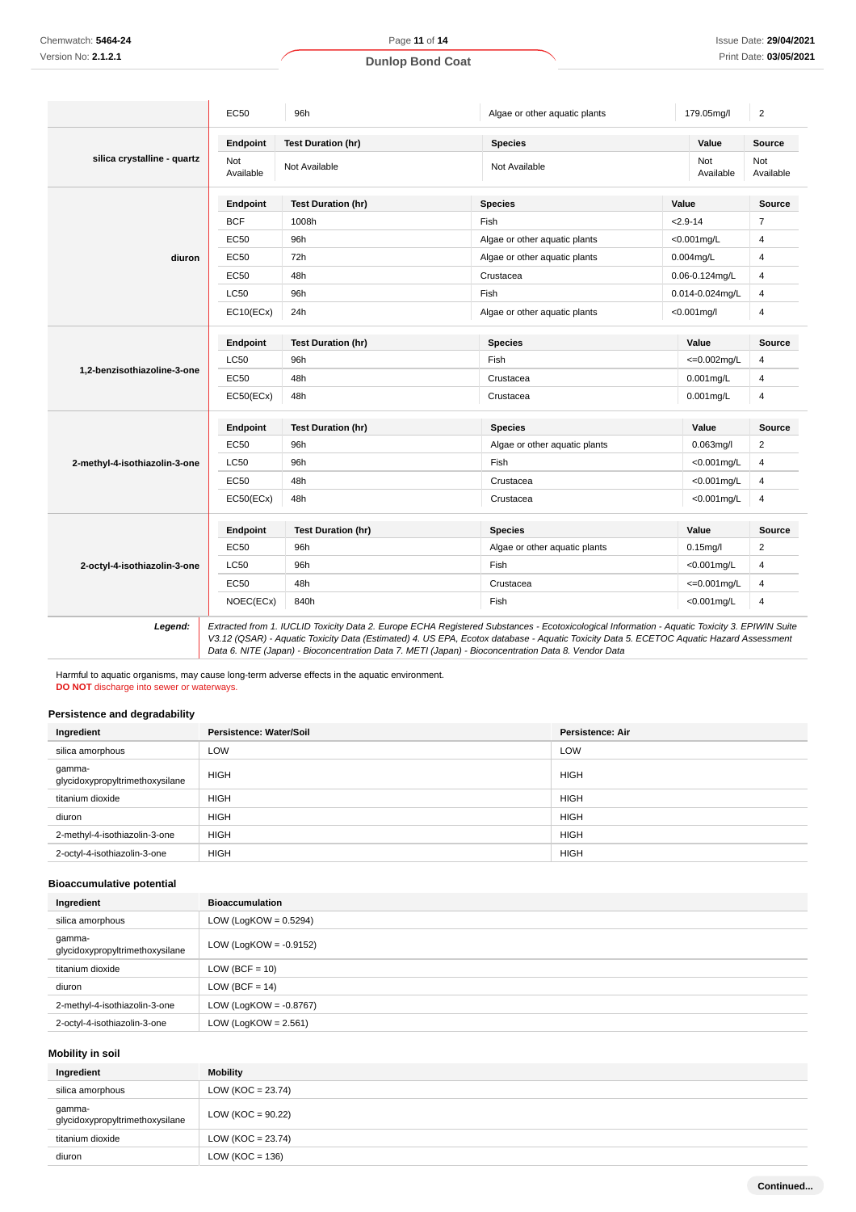|                               | <b>EC50</b>      | 96h                       | Algae or other aquatic plants                                                                                                                 | 179.05mg/l          | $\overline{2}$   |
|-------------------------------|------------------|---------------------------|-----------------------------------------------------------------------------------------------------------------------------------------------|---------------------|------------------|
|                               | Endpoint         | <b>Test Duration (hr)</b> | <b>Species</b>                                                                                                                                | Value               | Source           |
| silica crystalline - quartz   | Not<br>Available | Not Available             | Not Available                                                                                                                                 | Not<br>Available    | Not<br>Available |
|                               | Endpoint         | <b>Test Duration (hr)</b> | <b>Species</b>                                                                                                                                | Value               | Source           |
|                               | <b>BCF</b>       | 1008h                     | Fish                                                                                                                                          | $2.9 - 14$          | $\overline{7}$   |
|                               | EC50             | 96h                       | Algae or other aquatic plants                                                                                                                 | <0.001mg/L          | $\overline{4}$   |
| diuron                        | <b>EC50</b>      | 72h                       | Algae or other aquatic plants                                                                                                                 | $0.004$ mg/L        | $\overline{4}$   |
|                               | <b>EC50</b>      | 48h                       | Crustacea                                                                                                                                     | $0.06 - 0.124$ mg/L | $\overline{4}$   |
|                               | <b>LC50</b>      | 96h                       | Fish                                                                                                                                          | 0.014-0.024mg/L     | $\overline{4}$   |
|                               | EC10(ECx)        | 24h                       | Algae or other aquatic plants                                                                                                                 | $< 0.001$ mg/l      | $\overline{4}$   |
|                               | Endpoint         | <b>Test Duration (hr)</b> | <b>Species</b>                                                                                                                                | Value               | Source           |
|                               | <b>LC50</b>      | 96h                       | Fish                                                                                                                                          | $\leq 0.002$ mg/L   | $\overline{4}$   |
| 1,2-benzisothiazoline-3-one   | <b>EC50</b>      | 48h                       | Crustacea                                                                                                                                     | $0.001$ mg/L        | 4                |
|                               | EC50(ECx)        | 48h                       | Crustacea                                                                                                                                     | $0.001$ mg/L        | $\overline{4}$   |
|                               | Endpoint         | <b>Test Duration (hr)</b> | <b>Species</b>                                                                                                                                | Value               | <b>Source</b>    |
|                               | EC50             | 96h                       | Algae or other aquatic plants                                                                                                                 | $0.063$ mg/l        | $\overline{2}$   |
| 2-methyl-4-isothiazolin-3-one | <b>LC50</b>      | 96h                       | Fish                                                                                                                                          | $<$ 0.001mg/L       | 4                |
|                               | EC50             | 48h                       | Crustacea                                                                                                                                     | $<$ 0.001mg/L       | $\overline{4}$   |
|                               | EC50(ECx)        | 48h                       | Crustacea                                                                                                                                     | $<$ 0.001mg/L       | 4                |
|                               | Endpoint         | <b>Test Duration (hr)</b> | <b>Species</b>                                                                                                                                | Value               | <b>Source</b>    |
|                               | EC50             | 96h                       | Algae or other aquatic plants                                                                                                                 | $0.15$ mg/l         | $\overline{2}$   |
| 2-octyl-4-isothiazolin-3-one  | LC50             | 96h                       | Fish                                                                                                                                          | $<$ 0.001mg/L       | $\overline{4}$   |
|                               | <b>EC50</b>      | 48h                       | Crustacea                                                                                                                                     | $\leq 0.001$ mg/L   | 4                |
|                               | NOEC(ECx)        | 840h                      | Fish                                                                                                                                          | $<$ 0.001mg/L       | $\overline{4}$   |
| Legend:                       |                  |                           | Extracted from 1. IUCLID Toxicity Data 2. Europe ECHA Registered Substances - Ecotoxicological Information - Aquatic Toxicity 3. EPIWIN Suite |                     |                  |

V3.12 (QSAR) - Aquatic Toxicity Data (Estimated) 4. US EPA, Ecotox database - Aquatic Toxicity Data 5. ECETOC Aquatic Hazard Assessment Data 6. NITE (Japan) - Bioconcentration Data 7. METI (Japan) - Bioconcentration Data 8. Vendor Data

Harmful to aquatic organisms, may cause long-term adverse effects in the aquatic environment. **DO NOT** discharge into sewer or waterways.

#### **Persistence and degradability**

| Ingredient                                | Persistence: Water/Soil | <b>Persistence: Air</b> |
|-------------------------------------------|-------------------------|-------------------------|
| silica amorphous                          | LOW                     | LOW                     |
| gamma-<br>glycidoxypropyltrimethoxysilane | <b>HIGH</b>             | <b>HIGH</b>             |
| titanium dioxide                          | <b>HIGH</b>             | <b>HIGH</b>             |
| diuron                                    | <b>HIGH</b>             | <b>HIGH</b>             |
| 2-methyl-4-isothiazolin-3-one             | <b>HIGH</b>             | <b>HIGH</b>             |
| 2-octyl-4-isothiazolin-3-one              | <b>HIGH</b>             | <b>HIGH</b>             |

#### **Bioaccumulative potential**

| Ingredient                                | <b>Bioaccumulation</b>    |
|-------------------------------------------|---------------------------|
| silica amorphous                          | LOW (LogKOW = $0.5294$ )  |
| gamma-<br>glycidoxypropyltrimethoxysilane | LOW (LogKOW = $-0.9152$ ) |
| titanium dioxide                          | $LOW (BCF = 10)$          |
| diuron                                    | $LOW (BCF = 14)$          |
| 2-methyl-4-isothiazolin-3-one             | LOW (LogKOW = $-0.8767$ ) |
| 2-octyl-4-isothiazolin-3-one              | LOW (LogKOW = $2.561$ )   |

### **Mobility in soil**

| Ingredient                                | Mobility              |
|-------------------------------------------|-----------------------|
| silica amorphous                          | LOW (KOC = $23.74$ )  |
| gamma-<br>glycidoxypropyltrimethoxysilane | LOW ( $KOC = 90.22$ ) |
| titanium dioxide                          | LOW (KOC = $23.74$ )  |
| diuron                                    | LOW ( $KOC = 136$ )   |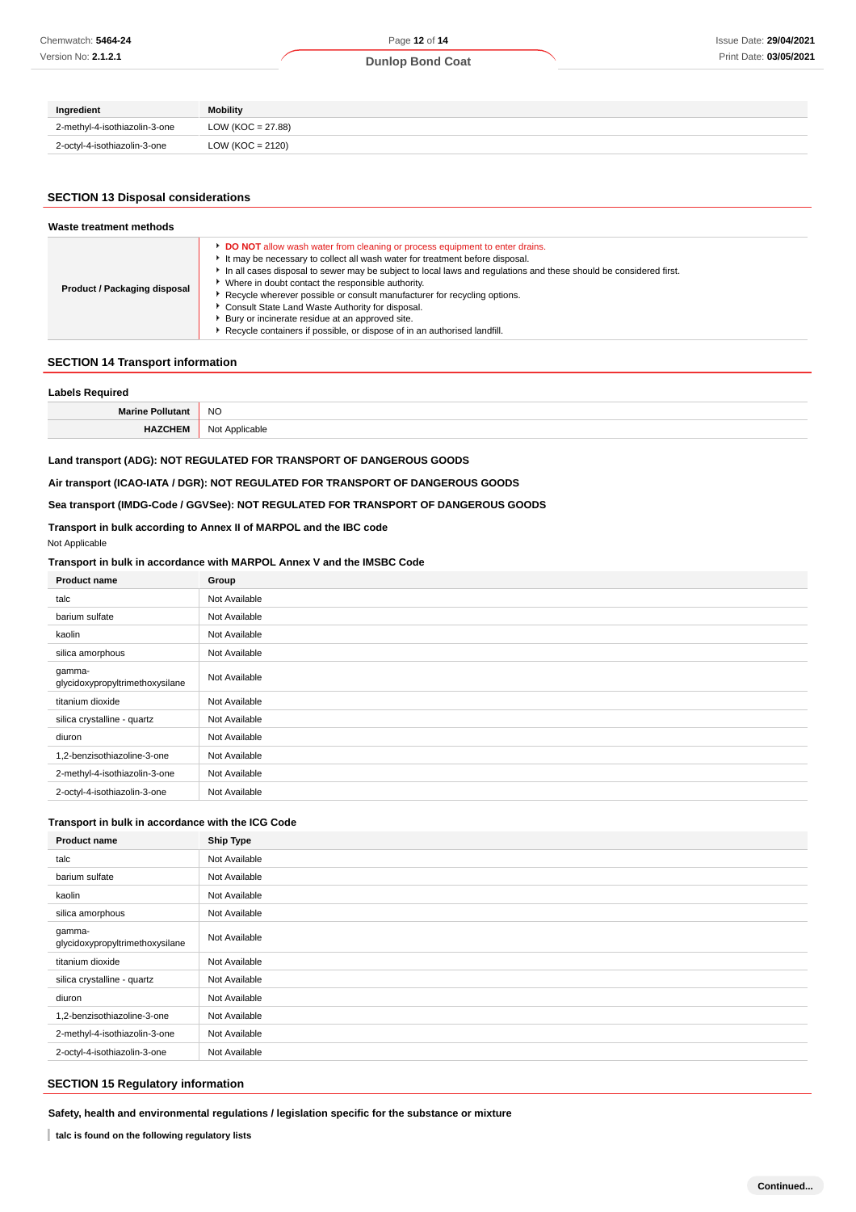### **Dunlop Bond Coat**

| Ingredient                    | Mobility             |
|-------------------------------|----------------------|
| 2-methyl-4-isothiazolin-3-one | LOW (KOC = 27.88)    |
| 2-octyl-4-isothiazolin-3-one  | LOW ( $KOC = 2120$ ) |

# **SECTION 13 Disposal considerations**

| Waste treatment methods      |                                                                                                                                                                                                                                                                                                                                                                                                                                                                                                                                                                                                                     |  |  |  |
|------------------------------|---------------------------------------------------------------------------------------------------------------------------------------------------------------------------------------------------------------------------------------------------------------------------------------------------------------------------------------------------------------------------------------------------------------------------------------------------------------------------------------------------------------------------------------------------------------------------------------------------------------------|--|--|--|
| Product / Packaging disposal | <b>DO NOT</b> allow wash water from cleaning or process equipment to enter drains.<br>It may be necessary to collect all wash water for treatment before disposal.<br>In all cases disposal to sewer may be subject to local laws and regulations and these should be considered first.<br>• Where in doubt contact the responsible authority.<br>▶ Recycle wherever possible or consult manufacturer for recycling options.<br>▶ Consult State Land Waste Authority for disposal.<br>▶ Bury or incinerate residue at an approved site.<br>Recycle containers if possible, or dispose of in an authorised landfill. |  |  |  |

#### **SECTION 14 Transport information**

| ∟abels Required<br>-au               |                     |  |
|--------------------------------------|---------------------|--|
| <b>Marine Pollutan</b><br>uvia:      | <b>NO</b><br>$\sim$ |  |
| <b>HAZCHEM</b><br><sup>7</sup> CHEM. | Applicable<br>Not . |  |

### **Land transport (ADG): NOT REGULATED FOR TRANSPORT OF DANGEROUS GOODS**

**Air transport (ICAO-IATA / DGR): NOT REGULATED FOR TRANSPORT OF DANGEROUS GOODS**

#### **Sea transport (IMDG-Code / GGVSee): NOT REGULATED FOR TRANSPORT OF DANGEROUS GOODS**

## **Transport in bulk according to Annex II of MARPOL and the IBC code**

Not Applicable

#### **Transport in bulk in accordance with MARPOL Annex V and the IMSBC Code**

| <b>Product name</b>                       | Group         |
|-------------------------------------------|---------------|
| talc                                      | Not Available |
| barium sulfate                            | Not Available |
| kaolin                                    | Not Available |
| silica amorphous                          | Not Available |
| gamma-<br>glycidoxypropyltrimethoxysilane | Not Available |
| titanium dioxide                          | Not Available |
| silica crystalline - quartz               | Not Available |
| diuron                                    | Not Available |
| 1,2-benzisothiazoline-3-one               | Not Available |
| 2-methyl-4-isothiazolin-3-one             | Not Available |
| 2-octyl-4-isothiazolin-3-one              | Not Available |

#### **Transport in bulk in accordance with the ICG Code**

| <b>Product name</b>                       | <b>Ship Type</b> |
|-------------------------------------------|------------------|
| talc                                      | Not Available    |
| barium sulfate                            | Not Available    |
| kaolin                                    | Not Available    |
| silica amorphous                          | Not Available    |
| gamma-<br>glycidoxypropyltrimethoxysilane | Not Available    |
| titanium dioxide                          | Not Available    |
| silica crystalline - quartz               | Not Available    |
| diuron                                    | Not Available    |
| 1,2-benzisothiazoline-3-one               | Not Available    |
| 2-methyl-4-isothiazolin-3-one             | Not Available    |
| 2-octyl-4-isothiazolin-3-one              | Not Available    |

## **SECTION 15 Regulatory information**

**Safety, health and environmental regulations / legislation specific for the substance or mixture**

**talc is found on the following regulatory lists**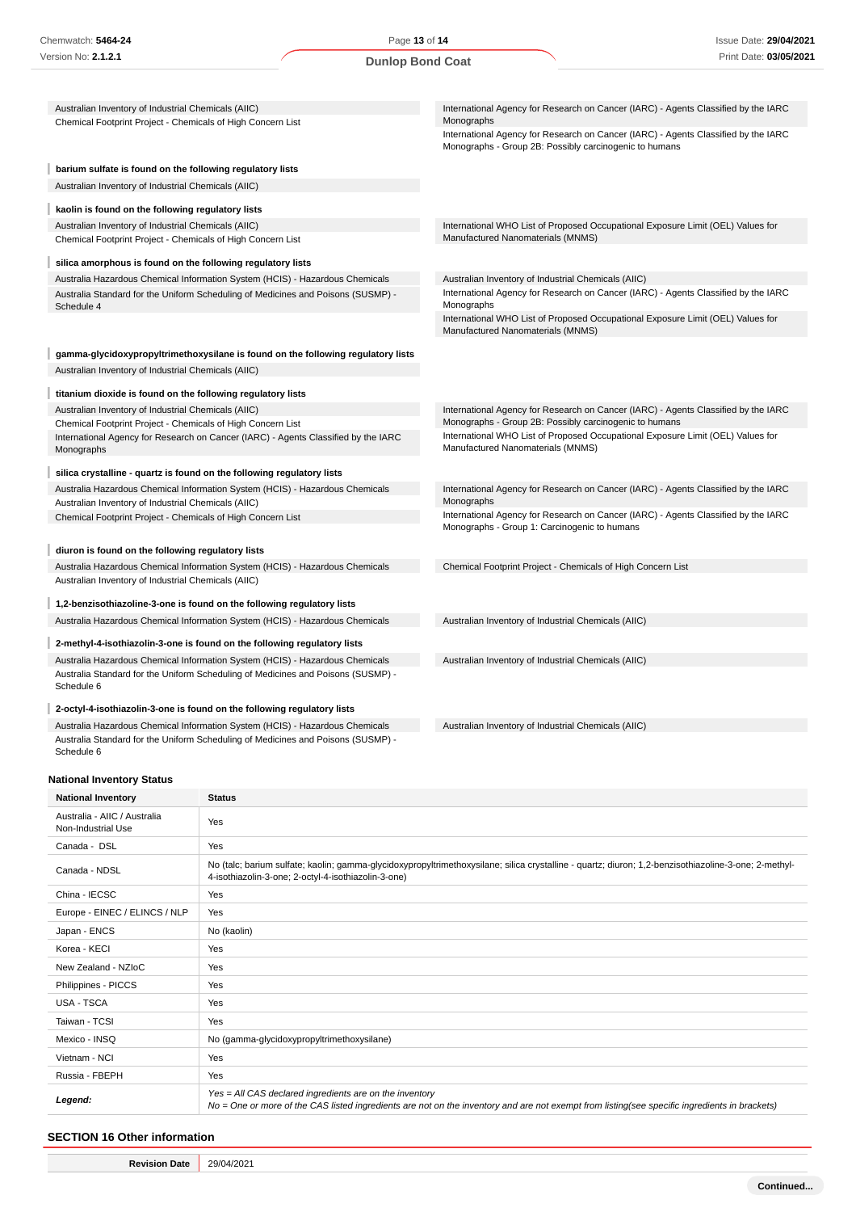| Chemwatch: 5464-24                                                                                                                  | Page 13 of 14           |                                                     | <b>Issue Date: 29/04/2021</b>                                                                                                                                                                                                      |  |
|-------------------------------------------------------------------------------------------------------------------------------------|-------------------------|-----------------------------------------------------|------------------------------------------------------------------------------------------------------------------------------------------------------------------------------------------------------------------------------------|--|
| Version No: <b>2.1.2.1</b>                                                                                                          | <b>Dunlop Bond Coat</b> |                                                     | Print Date: 03/05/2021                                                                                                                                                                                                             |  |
| Australian Inventory of Industrial Chemicals (AIIC)<br>Chemical Footprint Project - Chemicals of High Concern List                  |                         | Monographs                                          | International Agency for Research on Cancer (IARC) - Agents Classified by the IARC<br>International Agency for Research on Cancer (IARC) - Agents Classified by the IARC<br>Monographs - Group 2B: Possibly carcinogenic to humans |  |
| barium sulfate is found on the following regulatory lists                                                                           |                         |                                                     |                                                                                                                                                                                                                                    |  |
| Australian Inventory of Industrial Chemicals (AIIC)                                                                                 |                         |                                                     |                                                                                                                                                                                                                                    |  |
| kaolin is found on the following regulatory lists                                                                                   |                         |                                                     |                                                                                                                                                                                                                                    |  |
| Australian Inventory of Industrial Chemicals (AIIC)                                                                                 |                         |                                                     | International WHO List of Proposed Occupational Exposure Limit (OEL) Values for                                                                                                                                                    |  |
| Chemical Footprint Project - Chemicals of High Concern List                                                                         |                         | Manufactured Nanomaterials (MNMS)                   |                                                                                                                                                                                                                                    |  |
| silica amorphous is found on the following regulatory lists                                                                         |                         |                                                     |                                                                                                                                                                                                                                    |  |
| Australia Hazardous Chemical Information System (HCIS) - Hazardous Chemicals                                                        |                         | Australian Inventory of Industrial Chemicals (AIIC) |                                                                                                                                                                                                                                    |  |
| Australia Standard for the Uniform Scheduling of Medicines and Poisons (SUSMP) -<br>Schedule 4                                      |                         | Monographs                                          | International Agency for Research on Cancer (IARC) - Agents Classified by the IARC                                                                                                                                                 |  |
|                                                                                                                                     |                         | Manufactured Nanomaterials (MNMS)                   | International WHO List of Proposed Occupational Exposure Limit (OEL) Values for                                                                                                                                                    |  |
| gamma-glycidoxypropyltrimethoxysilane is found on the following regulatory lists                                                    |                         |                                                     |                                                                                                                                                                                                                                    |  |
| Australian Inventory of Industrial Chemicals (AIIC)                                                                                 |                         |                                                     |                                                                                                                                                                                                                                    |  |
| titanium dioxide is found on the following regulatory lists                                                                         |                         |                                                     |                                                                                                                                                                                                                                    |  |
| Australian Inventory of Industrial Chemicals (AIIC)                                                                                 |                         |                                                     | International Agency for Research on Cancer (IARC) - Agents Classified by the IARC                                                                                                                                                 |  |
| Chemical Footprint Project - Chemicals of High Concern List                                                                         |                         |                                                     | Monographs - Group 2B: Possibly carcinogenic to humans                                                                                                                                                                             |  |
| International Agency for Research on Cancer (IARC) - Agents Classified by the IARC<br>Monographs                                    |                         | Manufactured Nanomaterials (MNMS)                   | International WHO List of Proposed Occupational Exposure Limit (OEL) Values for                                                                                                                                                    |  |
| silica crystalline - quartz is found on the following regulatory lists                                                              |                         |                                                     |                                                                                                                                                                                                                                    |  |
| Australia Hazardous Chemical Information System (HCIS) - Hazardous Chemicals                                                        |                         |                                                     | International Agency for Research on Cancer (IARC) - Agents Classified by the IARC                                                                                                                                                 |  |
| Australian Inventory of Industrial Chemicals (AIIC)                                                                                 |                         | Monographs                                          |                                                                                                                                                                                                                                    |  |
| Chemical Footprint Project - Chemicals of High Concern List                                                                         |                         | Monographs - Group 1: Carcinogenic to humans        | International Agency for Research on Cancer (IARC) - Agents Classified by the IARC                                                                                                                                                 |  |
| diuron is found on the following regulatory lists                                                                                   |                         |                                                     |                                                                                                                                                                                                                                    |  |
| Australia Hazardous Chemical Information System (HCIS) - Hazardous Chemicals<br>Australian Inventory of Industrial Chemicals (AIIC) |                         |                                                     | Chemical Footprint Project - Chemicals of High Concern List                                                                                                                                                                        |  |
| 1,2-benzisothiazoline-3-one is found on the following regulatory lists                                                              |                         |                                                     |                                                                                                                                                                                                                                    |  |
| Australia Hazardous Chemical Information System (HCIS) - Hazardous Chemicals                                                        |                         | Australian Inventory of Industrial Chemicals (AIIC) |                                                                                                                                                                                                                                    |  |
| 2-methyl-4-isothiazolin-3-one is found on the following regulatory lists                                                            |                         |                                                     |                                                                                                                                                                                                                                    |  |
| Australia Hazardous Chemical Information System (HCIS) - Hazardous Chemicals                                                        |                         | Australian Inventory of Industrial Chemicals (AIIC) |                                                                                                                                                                                                                                    |  |
| Australia Standard for the Uniform Scheduling of Medicines and Poisons (SUSMP) -<br>Schedule 6                                      |                         |                                                     |                                                                                                                                                                                                                                    |  |
| 2-octyl-4-isothiazolin-3-one is found on the following regulatory lists                                                             |                         |                                                     |                                                                                                                                                                                                                                    |  |
| Australia Hazardous Chemical Information System (HCIS) - Hazardous Chemicals                                                        |                         | Australian Inventory of Industrial Chemicals (AIIC) |                                                                                                                                                                                                                                    |  |
| Australia Standard for the Uniform Scheduling of Medicines and Poisons (SUSMP) -<br>Schedule 6                                      |                         |                                                     |                                                                                                                                                                                                                                    |  |

## **National Inventory Status**

| <b>National Inventory</b>                          | <b>Status</b>                                                                                                                                                                                               |  |  |
|----------------------------------------------------|-------------------------------------------------------------------------------------------------------------------------------------------------------------------------------------------------------------|--|--|
| Australia - AIIC / Australia<br>Non-Industrial Use | Yes                                                                                                                                                                                                         |  |  |
| Canada - DSL                                       | Yes                                                                                                                                                                                                         |  |  |
| Canada - NDSL                                      | No (talc; barium sulfate; kaolin; gamma-glycidoxypropyltrimethoxysilane; silica crystalline - quartz; diuron; 1,2-benzisothiazoline-3-one; 2-methyl-<br>4-isothiazolin-3-one; 2-octyl-4-isothiazolin-3-one) |  |  |
| China - IECSC                                      | Yes                                                                                                                                                                                                         |  |  |
| Europe - EINEC / ELINCS / NLP                      | Yes                                                                                                                                                                                                         |  |  |
| Japan - ENCS                                       | No (kaolin)                                                                                                                                                                                                 |  |  |
| Korea - KECI                                       | Yes                                                                                                                                                                                                         |  |  |
| New Zealand - NZIoC                                | Yes                                                                                                                                                                                                         |  |  |
| Philippines - PICCS                                | Yes                                                                                                                                                                                                         |  |  |
| <b>USA - TSCA</b>                                  | Yes                                                                                                                                                                                                         |  |  |
| Taiwan - TCSI                                      | Yes                                                                                                                                                                                                         |  |  |
| Mexico - INSQ                                      | No (gamma-glycidoxypropyltrimethoxysilane)                                                                                                                                                                  |  |  |
| Vietnam - NCI                                      | Yes                                                                                                                                                                                                         |  |  |
| Russia - FBEPH                                     | Yes                                                                                                                                                                                                         |  |  |
| Legend:                                            | Yes = All CAS declared ingredients are on the inventory<br>No = One or more of the CAS listed ingredients are not on the inventory and are not exempt from listing(see specific ingredients in brackets)    |  |  |

## **SECTION 16 Other information**